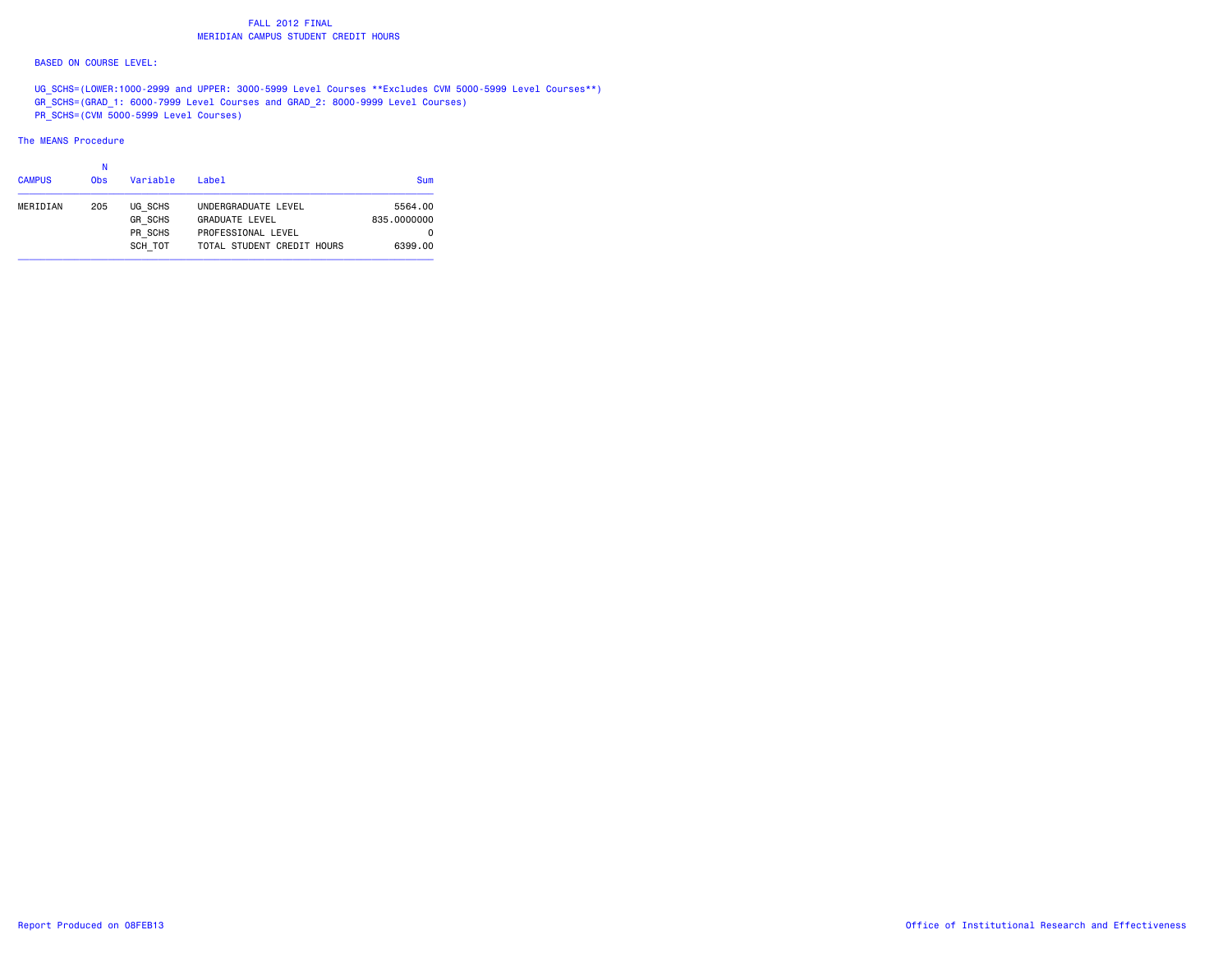# FALL 2012 FINAL**MERIDIAN CAMPUS STUDENT CREDIT HOURS**

### BASED ON COURSE LEVEL:

UG SCHS=(LOWER:1000-2999 and UPPER: 3000-5999 Level Courses \*\*Excludes CVM 5000-5999 Level Courses\*\*) GR\_SCHS=(GRAD\_1: 6000-7999 Level Courses and GRAD\_2: 8000-9999 Level Courses) PR\_SCHS=(CVM 5000-5999 Level Courses)

### The MEANS Procedure

| <b>CAMPUS</b> | Ν<br>0 <sub>bs</sub> | Variable                                        | Label                                                                                            | Sum                                    |
|---------------|----------------------|-------------------------------------------------|--------------------------------------------------------------------------------------------------|----------------------------------------|
| MERIDIAN      | 205                  | UG SCHS<br><b>GR SCHS</b><br>PR SCHS<br>SCH TOT | UNDERGRADUATE LEVEL<br><b>GRADUATE LEVEL</b><br>PROFESSIONAL LEVEL<br>TOTAL STUDENT CREDIT HOURS | 5564.00<br>835,0000000<br>0<br>6399.00 |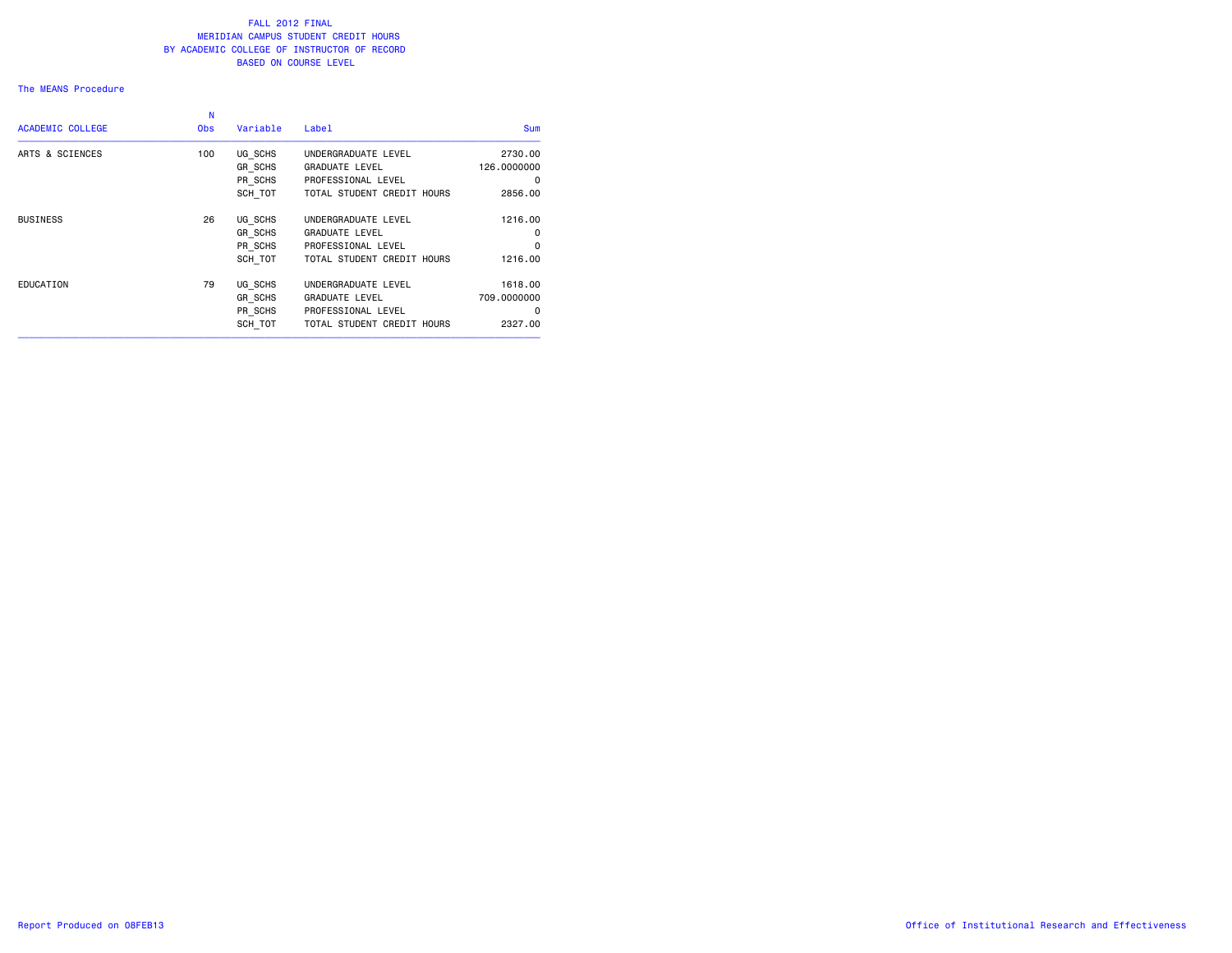#### The MEANS Procedure

| <b>Sum</b>  | Label                      | Variable | N<br><b>Obs</b> | <b>ACADEMIC COLLEGE</b> |
|-------------|----------------------------|----------|-----------------|-------------------------|
| 2730.00     | UNDERGRADUATE LEVEL        | UG SCHS  | 100             | ARTS & SCIENCES         |
| 126.0000000 | <b>GRADUATE LEVEL</b>      | GR SCHS  |                 |                         |
| $\Omega$    | PROFESSIONAL LEVEL         | PR SCHS  |                 |                         |
| 2856.00     | TOTAL STUDENT CREDIT HOURS | SCH TOT  |                 |                         |
| 1216.00     | UNDERGRADUATE LEVEL        | UG SCHS  | 26              | <b>BUSINESS</b>         |
| 0           | <b>GRADUATE LEVEL</b>      | GR_SCHS  |                 |                         |
| 0           | PROFESSIONAL LEVEL         | PR SCHS  |                 |                         |
| 1216.00     | TOTAL STUDENT CREDIT HOURS | SCH TOT  |                 |                         |
| 1618.00     | UNDERGRADUATE LEVEL        | UG SCHS  | 79              | EDUCATION               |
| 709,0000000 | <b>GRADUATE LEVEL</b>      | GR SCHS  |                 |                         |
| $\Omega$    | PROFESSIONAL LEVEL         | PR SCHS  |                 |                         |
| 2327,00     | TOTAL STUDENT CREDIT HOURS | SCH TOT  |                 |                         |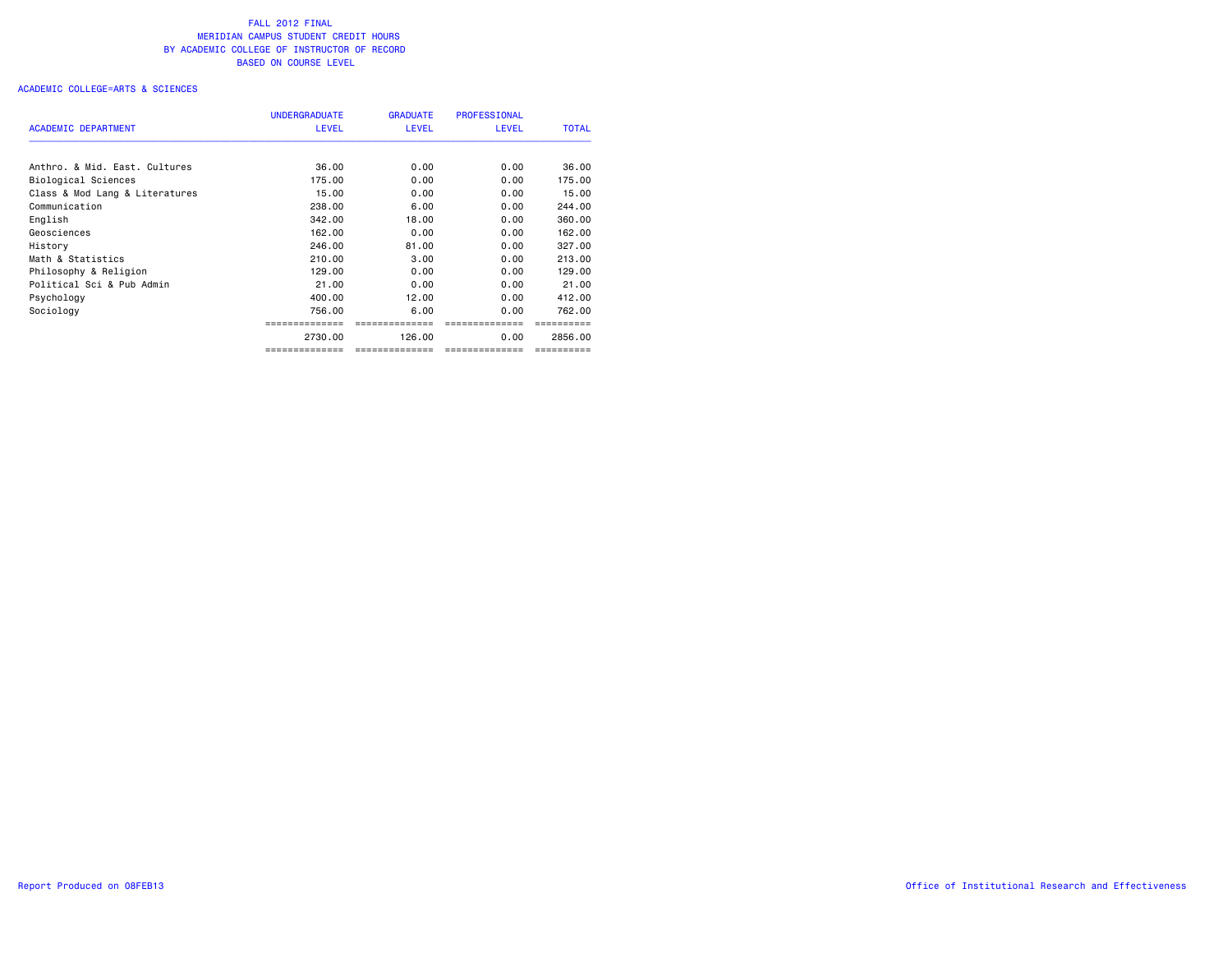|                                | <b>UNDERGRADUATE</b> | <b>GRADUATE</b> | <b>PROFESSIONAL</b> |              |
|--------------------------------|----------------------|-----------------|---------------------|--------------|
| <b>ACADEMIC DEPARTMENT</b>     | <b>LEVEL</b>         | <b>LEVEL</b>    | <b>LEVEL</b>        | <b>TOTAL</b> |
| Anthro, & Mid. East. Cultures  | 36.00                | 0.00            | 0.00                | 36.00        |
| Biological Sciences            | 175.00               | 0.00            | 0.00                | 175.00       |
| Class & Mod Lang & Literatures | 15.00                | 0.00            | 0.00                | 15.00        |
| Communication                  | 238,00               | 6.00            | 0.00                | 244.00       |
| English                        | 342,00               | 18,00           | 0.00                | 360,00       |
| Geosciences                    | 162,00               | 0.00            | 0.00                | 162.00       |
| History                        | 246.00               | 81.00           | 0.00                | 327,00       |
| Math & Statistics              | 210,00               | 3.00            | 0.00                | 213,00       |
| Philosophy & Religion          | 129.00               | 0.00            | 0.00                | 129,00       |
| Political Sci & Pub Admin      | 21.00                | 0.00            | 0.00                | 21.00        |
| Psychology                     | 400.00               | 12.00           | 0.00                | 412,00       |
| Sociology                      | 756.00               | 6.00            | 0.00                | 762,00       |
|                                |                      |                 |                     |              |
|                                | 2730.00              | 126.00          | 0.00                | 2856,00      |
|                                | ==============       | --------------  | ==============      | ==========   |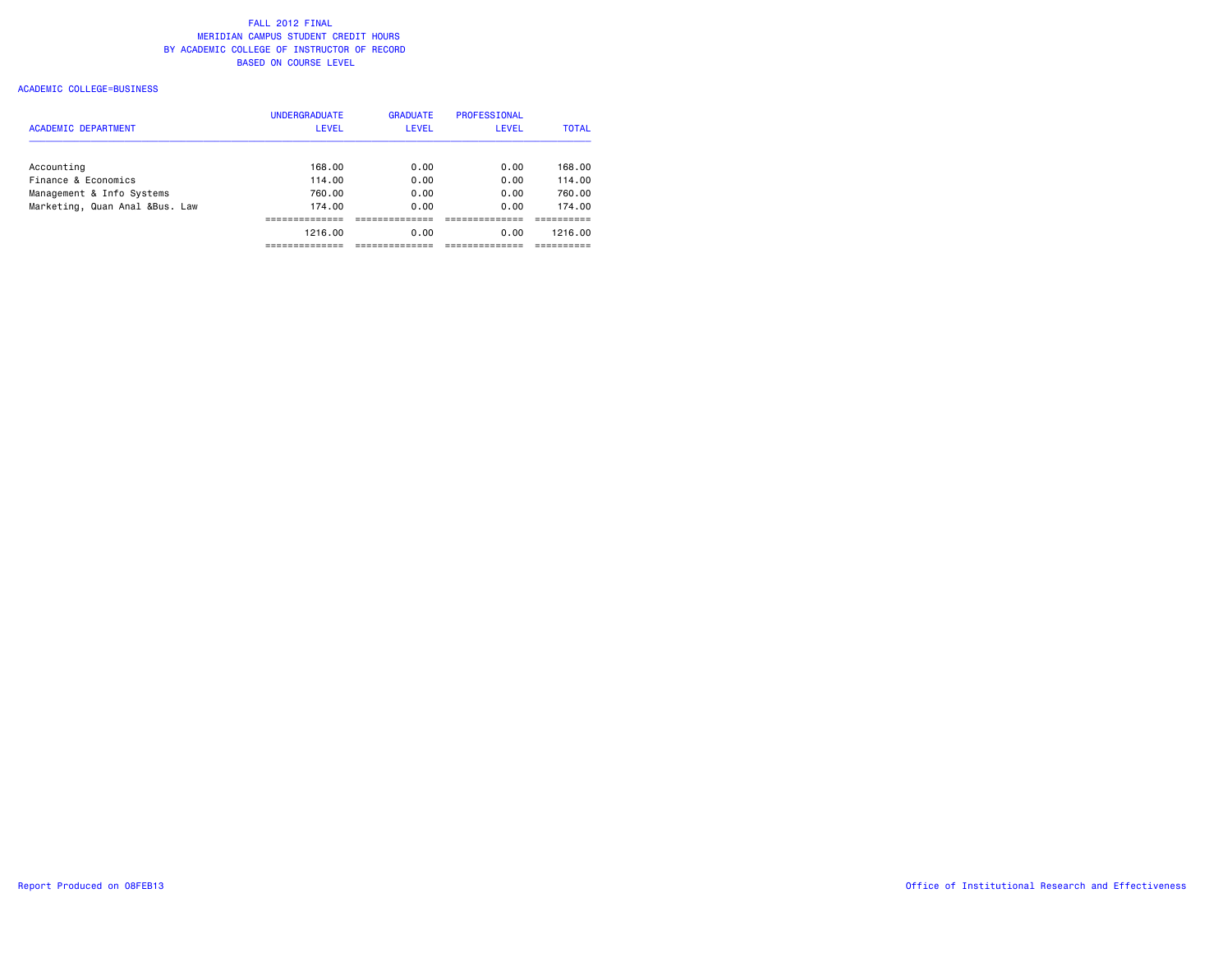### ACADEMIC COLLEGE=BUSINESS

|                                | <b>UNDERGRADUATE</b> | <b>GRADUATE</b> | <b>PROFESSIONAL</b> |              |
|--------------------------------|----------------------|-----------------|---------------------|--------------|
| <b>ACADEMIC DEPARTMENT</b>     | <b>LEVEL</b>         | <b>LEVEL</b>    | <b>LEVEL</b>        | <b>TOTAL</b> |
| Accounting                     | 168.00               | 0.00            | 0.00                | 168.00       |
| Finance & Economics            | 114.00               | 0.00            | 0.00                | 114.00       |
| Management & Info Systems      | 760.00               | 0.00            | 0.00                | 760.00       |
| Marketing, Quan Anal &Bus. Law | 174.00               | 0.00            | 0.00                | 174.00       |
|                                |                      |                 |                     |              |
|                                | 1216.00              | 0.00            | 0.00                | 1216.00      |
|                                |                      |                 |                     |              |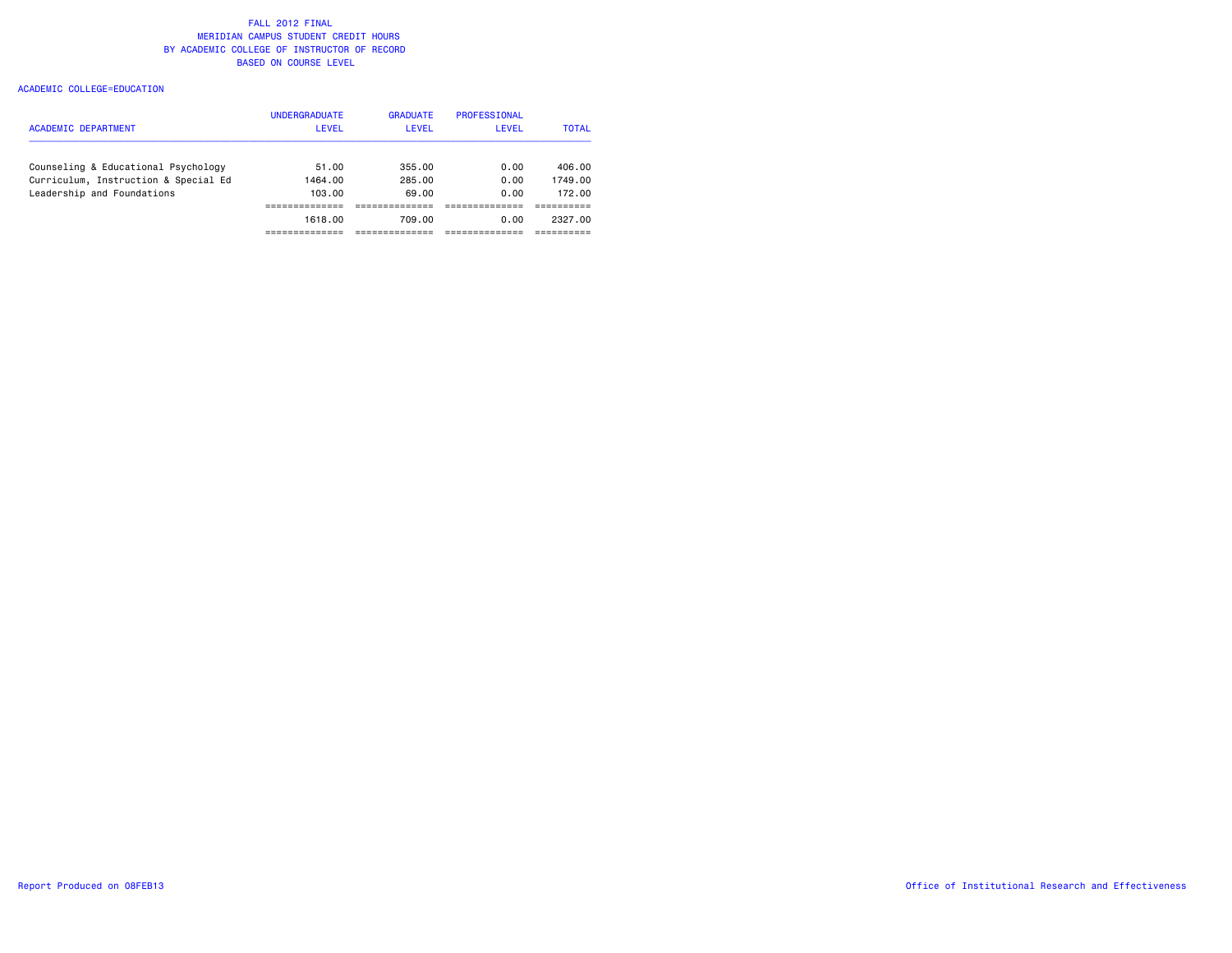| <b>ACADEMIC DEPARTMENT</b>           | <b>UNDERGRADUATE</b><br><b>LEVEL</b> | <b>GRADUATE</b><br><b>LEVEL</b> | <b>PROFESSIONAL</b><br>LEVEL | <b>TOTAL</b> |
|--------------------------------------|--------------------------------------|---------------------------------|------------------------------|--------------|
| Counseling & Educational Psychology  | 51.00                                | 355.00                          | 0.00                         | 406.00       |
| Curriculum, Instruction & Special Ed | 1464.00                              | 285.00                          | 0.00                         | 1749.00      |
| Leadership and Foundations           | 103.00                               | 69.00                           | 0.00                         | 172.00       |
|                                      |                                      |                                 |                              |              |
|                                      | 1618.00                              | 709.00                          | 0.00                         | 2327.00      |
|                                      |                                      |                                 |                              |              |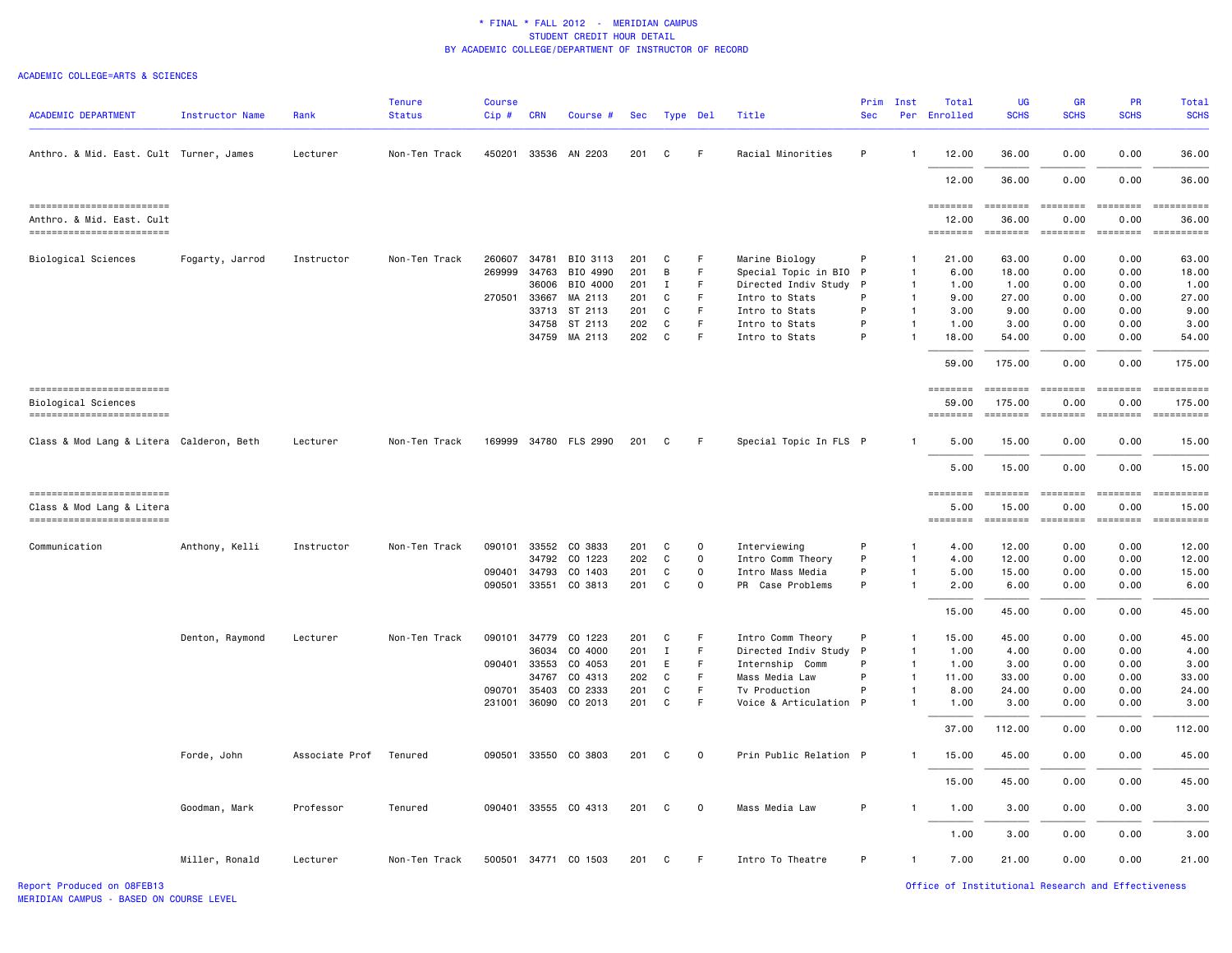#### ACADEMIC COLLEGE=ARTS & SCIENCES

| <b>ACADEMIC DEPARTMENT</b>                              | Instructor Name | Rank           | <b>Tenure</b><br><b>Status</b> | <b>Course</b><br>Cip# | <b>CRN</b> | Course #              | Sec | Type Del     |              | Title                  | Prim<br><b>Sec</b> | Inst           | Total<br>Per Enrolled | UG<br><b>SCHS</b>        | <b>GR</b><br><b>SCHS</b> | <b>PR</b><br><b>SCHS</b> | Total<br><b>SCHS</b>       |
|---------------------------------------------------------|-----------------|----------------|--------------------------------|-----------------------|------------|-----------------------|-----|--------------|--------------|------------------------|--------------------|----------------|-----------------------|--------------------------|--------------------------|--------------------------|----------------------------|
| Anthro. & Mid. East. Cult Turner, James                 |                 | Lecturer       | Non-Ten Track                  | 450201 33536          |            | AN 2203               | 201 | C            | F            | Racial Minorities      | P                  | $\overline{1}$ | 12.00                 | 36.00                    | 0.00                     | 0.00                     | 36.00                      |
|                                                         |                 |                |                                |                       |            |                       |     |              |              |                        |                    |                | 12.00                 | 36.00                    | 0.00                     | 0.00                     | 36.00                      |
| ==========================                              |                 |                |                                |                       |            |                       |     |              |              |                        |                    |                | ========              | ========                 | ========                 | ========                 |                            |
| Anthro. & Mid. East. Cult<br>========================== |                 |                |                                |                       |            |                       |     |              |              |                        |                    |                | 12.00<br>========     | 36.00<br>========        | 0.00<br><b>ESSESSE</b>   | 0.00<br>$=$ ========     | 36.00                      |
| Biological Sciences                                     | Fogarty, Jarrod | Instructor     | Non-Ten Track                  | 260607 34781          |            | BIO 3113              | 201 | C            | F            | Marine Biology         | P                  | $\mathbf{1}$   | 21.00                 | 63.00                    | 0.00                     | 0.00                     | 63.00                      |
|                                                         |                 |                |                                | 269999                | 34763      | BIO 4990              | 201 | B            | F.           | Special Topic in BIO   | P                  | $\overline{1}$ | 6.00                  | 18.00                    | 0.00                     | 0.00                     | 18.00                      |
|                                                         |                 |                |                                |                       | 36006      | BIO 4000              | 201 | Ι.           | F.           | Directed Indiv Study   | P                  | $\mathbf{1}$   | 1.00                  | 1.00                     | 0.00                     | 0.00                     | 1.00                       |
|                                                         |                 |                |                                | 270501                | 33667      | MA 2113               | 201 | C            | F            | Intro to Stats         | P                  | $\mathbf{1}$   | 9.00                  | 27.00                    | 0.00                     | 0.00                     | 27.00                      |
|                                                         |                 |                |                                |                       | 33713      | ST 2113               | 201 | C            | F.           | Intro to Stats         | P                  | $\overline{1}$ | 3.00                  | 9.00                     | 0.00                     | 0.00                     | 9.00                       |
|                                                         |                 |                |                                |                       | 34758      | ST 2113               | 202 | C            | F            | Intro to Stats         | P                  | $\overline{1}$ | 1.00                  | 3.00                     | 0.00                     | 0.00                     | 3.00                       |
|                                                         |                 |                |                                |                       |            | 34759 MA 2113         | 202 | C            | F            | Intro to Stats         | P                  | $\overline{1}$ | 18.00                 | 54.00                    | 0.00                     | 0.00                     | 54.00                      |
|                                                         |                 |                |                                |                       |            |                       |     |              |              |                        |                    |                | 59.00                 | 175.00                   | 0.00                     | 0.00                     | 175.00                     |
| ==========================<br>Biological Sciences       |                 |                |                                |                       |            |                       |     |              |              |                        |                    |                | 59.00                 | <b>EBBEBBE</b><br>175.00 | <b>EEEEEEE</b><br>0.00   | ========<br>0.00         | <b>CONSIDERS</b><br>175.00 |
| =========================                               |                 |                |                                |                       |            |                       |     |              |              |                        |                    |                |                       | <b>EDESSEE</b>           | <b>CODODOCI</b>          | $=$ ========             | ==========                 |
| Class & Mod Lang & Litera Calderon, Beth                |                 | Lecturer       | Non-Ten Track                  |                       |            | 169999 34780 FLS 2990 | 201 | C            | F            | Special Topic In FLS P |                    |                | 5.00                  | 15.00                    | 0.00                     | 0.00                     | 15.00                      |
|                                                         |                 |                |                                |                       |            |                       |     |              |              |                        |                    |                | 5.00                  | 15.00                    | 0.00                     | 0.00                     | 15.00                      |
| ==========================                              |                 |                |                                |                       |            |                       |     |              |              |                        |                    |                |                       |                          | <b>SEESSEES</b>          |                          | ==========                 |
| Class & Mod Lang & Litera                               |                 |                |                                |                       |            |                       |     |              |              |                        |                    |                | 5.00                  | 15.00                    | 0.00                     | 0.00                     | 15.00                      |
| -------------------------                               |                 |                |                                |                       |            |                       |     |              |              |                        |                    |                | <b>SESSESSE</b>       | $= 10000000000$          | ========                 | ========                 | ==========                 |
| Communication                                           | Anthony, Kelli  | Instructor     | Non-Ten Track                  | 090101 33552          |            | CO 3833               | 201 | C            | $\circ$      | Interviewing           | P                  | -1             | 4.00                  | 12.00                    | 0.00                     | 0.00                     | 12.00                      |
|                                                         |                 |                |                                |                       | 34792      | CO 1223               | 202 | C            | $\mathsf{O}$ | Intro Comm Theory      | P                  | $\mathbf{1}$   | 4.00                  | 12.00                    | 0.00                     | 0.00                     | 12.00                      |
|                                                         |                 |                |                                | 090401                | 34793      | CO 1403               | 201 | C            | $\mathbf 0$  | Intro Mass Media       | P                  | $\mathbf{1}$   | 5.00                  | 15.00                    | 0.00                     | 0.00                     | 15.00                      |
|                                                         |                 |                |                                | 090501                | 33551      | CO 3813               | 201 | C            | 0            | PR<br>Case Problems    | P                  | $\mathbf{1}$   | 2.00                  | 6.00                     | 0.00                     | 0.00                     | 6.00                       |
|                                                         |                 |                |                                |                       |            |                       |     |              |              |                        |                    |                | 15.00                 | 45.00                    | 0.00                     | 0.00                     | 45.00                      |
|                                                         | Denton, Raymond | Lecturer       | Non-Ten Track                  | 090101                | 34779      | CO 1223               | 201 | C            | F            | Intro Comm Theory      | P                  | $\mathbf{1}$   | 15.00                 | 45.00                    | 0.00                     | 0.00                     | 45.00                      |
|                                                         |                 |                |                                |                       | 36034      | CO 4000               | 201 | $\mathbf{I}$ | F            | Directed Indiv Study P |                    | $\mathbf{1}$   | 1.00                  | 4.00                     | 0.00                     | 0.00                     | 4.00                       |
|                                                         |                 |                |                                | 090401 33553          |            | CO 4053               | 201 | E            | F            | Internship Comm        | P                  | $\mathbf{1}$   | 1.00                  | 3.00                     | 0.00                     | 0.00                     | 3.00                       |
|                                                         |                 |                |                                |                       | 34767      | CO 4313               | 202 | $\mathtt{C}$ | F            | Mass Media Law         | P                  | $\overline{1}$ | 11.00                 | 33.00                    | 0.00                     | 0.00                     | 33.00                      |
|                                                         |                 |                |                                | 090701                | 35403      | CO 2333               | 201 | C            | F.           | Tv Production          | P                  | $\overline{1}$ | 8.00                  | 24.00                    | 0.00                     | 0.00                     | 24.00                      |
|                                                         |                 |                |                                | 231001                | 36090      | CO 2013               | 201 | $\mathtt{C}$ | F.           | Voice & Articulation P |                    | $\mathbf{1}$   | 1.00                  | 3.00                     | 0.00                     | 0.00                     | 3.00                       |
|                                                         |                 |                |                                |                       |            |                       |     |              |              |                        |                    |                | 37.00                 | 112.00                   | 0.00                     | 0.00                     | 112.00                     |
|                                                         | Forde, John     | Associate Prof | Tenured                        |                       |            | 090501 33550 CO 3803  | 201 | C            | $\mathbf 0$  | Prin Public Relation P |                    | $\mathbf{1}$   | 15.00                 | 45.00                    | 0.00                     | 0.00                     | 45.00                      |
|                                                         |                 |                |                                |                       |            |                       |     |              |              |                        |                    |                | 15.00                 | 45.00                    | 0.00                     | 0.00                     | 45.00                      |
|                                                         | Goodman, Mark   | Professor      | Tenured                        | 090401 33555          |            | CO 4313               | 201 | C            | $\mathbf 0$  | Mass Media Law         | P                  | $\mathbf{1}$   | 1.00                  | 3.00                     | 0.00                     | 0.00                     | 3.00                       |
|                                                         |                 |                |                                |                       |            |                       |     |              |              |                        |                    |                | 1.00                  | 3,00                     | 0.00                     | 0.00                     | 3.00                       |
|                                                         | Miller, Ronald  | Lecturer       | Non-Ten Track                  |                       |            | 500501 34771 CO 1503  | 201 | C            | F.           | Intro To Theatre       | P                  | $\mathbf{1}$   | 7.00                  | 21.00                    | 0.00                     | 0.00                     | 21,00                      |

Report Produced on 08FEB13 Office of Institutional Research and Effectiveness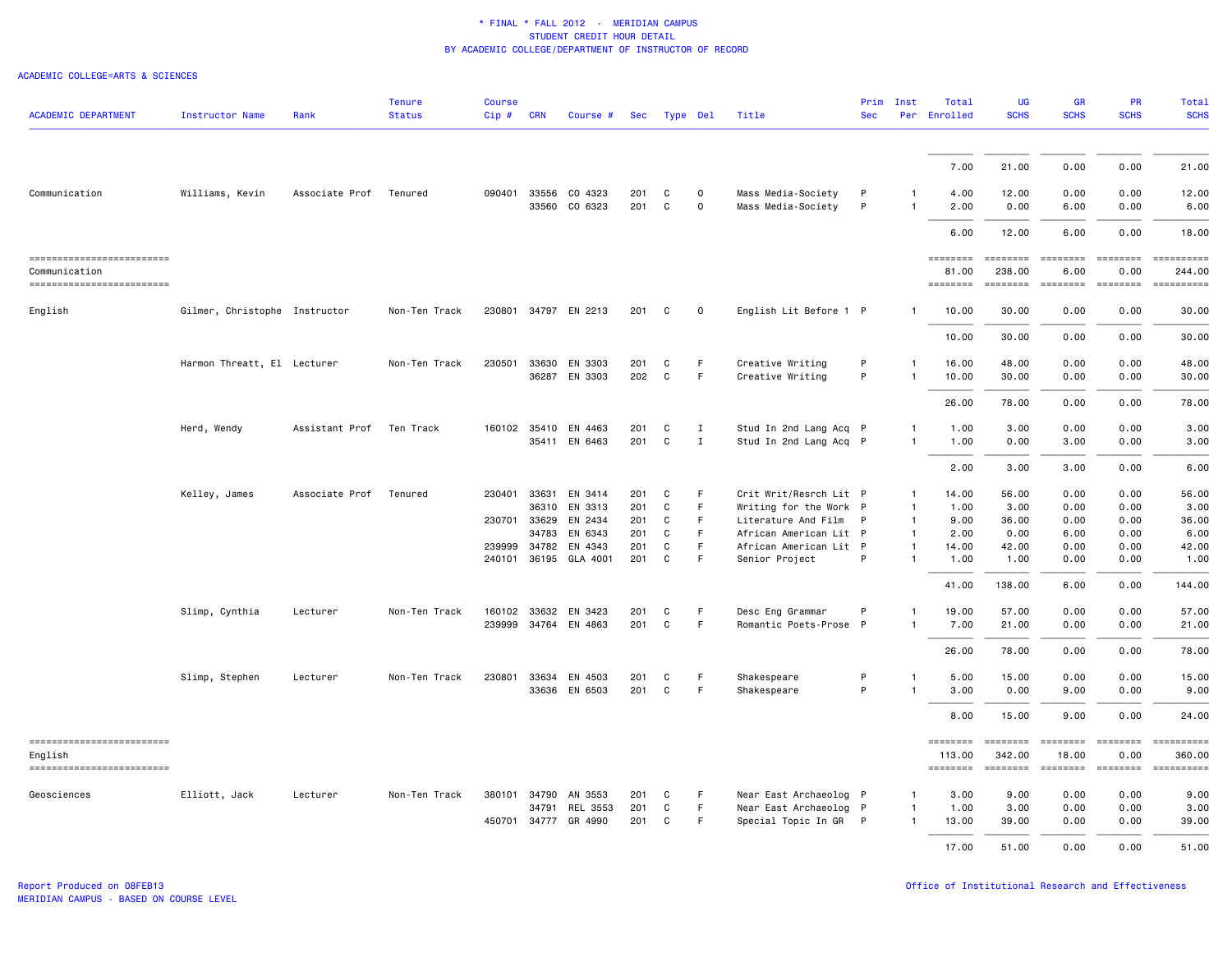| <b>ACADEMIC DEPARTMENT</b>                  | <b>Instructor Name</b>        | Rank                   | <b>Tenure</b><br><b>Status</b> | <b>Course</b><br>Cip# | <b>CRN</b>            | Course #             | <b>Sec</b> |        | Type Del    | Title                                            | Prim<br><b>Sec</b> | Inst                         | Total<br>Per Enrolled    | UG<br><b>SCHS</b>         | <b>GR</b><br><b>SCHS</b>                                                                                                                                                                                                                                                                                                                                                                                                                                                               | PR<br><b>SCHS</b>                                                       | <b>Total</b><br><b>SCHS</b> |
|---------------------------------------------|-------------------------------|------------------------|--------------------------------|-----------------------|-----------------------|----------------------|------------|--------|-------------|--------------------------------------------------|--------------------|------------------------------|--------------------------|---------------------------|----------------------------------------------------------------------------------------------------------------------------------------------------------------------------------------------------------------------------------------------------------------------------------------------------------------------------------------------------------------------------------------------------------------------------------------------------------------------------------------|-------------------------------------------------------------------------|-----------------------------|
|                                             |                               |                        |                                |                       |                       |                      |            |        |             |                                                  |                    |                              |                          |                           |                                                                                                                                                                                                                                                                                                                                                                                                                                                                                        |                                                                         |                             |
|                                             |                               |                        |                                |                       |                       |                      |            |        |             |                                                  |                    |                              | 7.00                     | 21.00                     | 0.00                                                                                                                                                                                                                                                                                                                                                                                                                                                                                   | 0.00                                                                    | 21.00                       |
| Communication                               | Williams, Kevin               | Associate Prof         | Tenured                        | 090401                | 33556                 | CO 4323              | 201        | С      | 0           | Mass Media-Society                               | P                  | 1                            | 4.00                     | 12.00                     | 0.00                                                                                                                                                                                                                                                                                                                                                                                                                                                                                   | 0.00                                                                    | 12.00                       |
|                                             |                               |                        |                                |                       | 33560                 | CO 6323              | 201        | C      | $\mathbf 0$ | Mass Media-Society                               | P                  | $\mathbf{1}$                 | 2.00                     | 0.00                      | 6.00                                                                                                                                                                                                                                                                                                                                                                                                                                                                                   | 0.00                                                                    | 6.00                        |
|                                             |                               |                        |                                |                       |                       |                      |            |        |             |                                                  |                    |                              | 6.00                     | 12.00                     | 6.00                                                                                                                                                                                                                                                                                                                                                                                                                                                                                   | 0.00                                                                    | 18.00                       |
| ==========================<br>Communication |                               |                        |                                |                       |                       |                      |            |        |             |                                                  |                    |                              | ========<br>81.00        | ========<br>238.00        | ========<br>6.00                                                                                                                                                                                                                                                                                                                                                                                                                                                                       | ========<br>0.00                                                        | -----------<br>244.00       |
| ------------------------                    |                               |                        |                                |                       |                       |                      |            |        |             |                                                  |                    |                              | $= 222222222$            | $= 222222222$             | $\begin{array}{cccccccccc} \multicolumn{3}{c}{} & \multicolumn{3}{c}{} & \multicolumn{3}{c}{} & \multicolumn{3}{c}{} & \multicolumn{3}{c}{} & \multicolumn{3}{c}{} & \multicolumn{3}{c}{} & \multicolumn{3}{c}{} & \multicolumn{3}{c}{} & \multicolumn{3}{c}{} & \multicolumn{3}{c}{} & \multicolumn{3}{c}{} & \multicolumn{3}{c}{} & \multicolumn{3}{c}{} & \multicolumn{3}{c}{} & \multicolumn{3}{c}{} & \multicolumn{3}{c}{} & \multicolumn{3}{c}{} & \multicolumn{3}{c}{} & \mult$ | $= 222222222$                                                           | ==========                  |
| English                                     | Gilmer, Christophe Instructor |                        | Non-Ten Track                  |                       |                       | 230801 34797 EN 2213 | 201        | C      | 0           | English Lit Before 1 P                           |                    | $\mathbf{1}$                 | 10.00                    | 30.00                     | 0.00                                                                                                                                                                                                                                                                                                                                                                                                                                                                                   | 0.00                                                                    | 30.00                       |
|                                             |                               |                        |                                |                       |                       |                      |            |        |             |                                                  |                    |                              | 10.00                    | 30.00                     | 0.00                                                                                                                                                                                                                                                                                                                                                                                                                                                                                   | 0.00                                                                    | 30.00                       |
|                                             | Harmon Threatt, El Lecturer   |                        | Non-Ten Track                  | 230501                | 33630                 | EN 3303              | 201        | С      | F           | Creative Writing                                 | P                  | $\mathbf{1}$                 | 16.00                    | 48.00                     | 0.00                                                                                                                                                                                                                                                                                                                                                                                                                                                                                   | 0.00                                                                    | 48.00                       |
|                                             |                               |                        |                                |                       | 36287                 | EN 3303              | 202        | C      | F           | Creative Writing                                 | P                  |                              | 10.00                    | 30.00                     | 0.00                                                                                                                                                                                                                                                                                                                                                                                                                                                                                   | 0.00                                                                    | 30.00                       |
|                                             |                               |                        |                                |                       |                       |                      |            |        |             |                                                  |                    |                              | 26.00                    | 78.00                     | 0.00                                                                                                                                                                                                                                                                                                                                                                                                                                                                                   | 0.00                                                                    | 78.00                       |
|                                             | Herd, Wendy                   | Assistant Prof         | Ten Track                      |                       |                       | 160102 35410 EN 4463 | 201        | C      | $\;$ I      | Stud In 2nd Lang Acq P                           |                    | -1                           | 1.00                     | 3.00                      | 0.00                                                                                                                                                                                                                                                                                                                                                                                                                                                                                   | 0.00                                                                    | 3.00                        |
|                                             |                               |                        |                                |                       |                       | 35411 EN 6463        | 201        | C      | $\;$ I      | Stud In 2nd Lang Acq P                           |                    | 1                            | 1.00                     | 0.00                      | 3.00                                                                                                                                                                                                                                                                                                                                                                                                                                                                                   | 0.00                                                                    | 3.00                        |
|                                             |                               |                        |                                |                       |                       |                      |            |        |             |                                                  |                    |                              | 2.00                     | 3.00                      | 3.00                                                                                                                                                                                                                                                                                                                                                                                                                                                                                   | 0.00                                                                    | 6.00                        |
|                                             | Kelley, James                 | Associate Prof Tenured |                                | 230401                |                       | 33631 EN 3414        | 201        | C      | E           | Crit Writ/Resrch Lit P                           |                    | 1                            | 14.00                    | 56.00                     | 0.00                                                                                                                                                                                                                                                                                                                                                                                                                                                                                   | 0.00                                                                    | 56.00                       |
|                                             |                               |                        |                                |                       | 36310                 | EN 3313              | 201        | C      | F           | Writing for the Work P                           |                    | $\mathbf{1}$                 | 1.00                     | 3.00                      | 0.00                                                                                                                                                                                                                                                                                                                                                                                                                                                                                   | 0.00                                                                    | 3.00                        |
|                                             |                               |                        |                                | 230701                | 33629                 | EN 2434              | 201        | C      | F           | Literature And Film P                            |                    | $\mathbf{1}$                 | 9.00                     | 36.00                     | 0.00                                                                                                                                                                                                                                                                                                                                                                                                                                                                                   | 0.00                                                                    | 36.00                       |
|                                             |                               |                        |                                |                       | 34783<br>239999 34782 | EN 6343<br>EN 4343   | 201<br>201 | С<br>C | F<br>F      | African American Lit P<br>African American Lit P |                    | $\mathbf{1}$<br>$\mathbf{1}$ | 2.00<br>14.00            | 0.00<br>42.00             | 6.00<br>0.00                                                                                                                                                                                                                                                                                                                                                                                                                                                                           | 0.00<br>0.00                                                            | 6.00<br>42.00               |
|                                             |                               |                        |                                |                       | 240101 36195          | GLA 4001             | 201        | C      | F           | Senior Project                                   | P                  | $\mathbf{1}$                 | 1.00                     | 1.00                      | 0.00                                                                                                                                                                                                                                                                                                                                                                                                                                                                                   | 0.00                                                                    | 1.00                        |
|                                             |                               |                        |                                |                       |                       |                      |            |        |             |                                                  |                    |                              | 41.00                    | 138.00                    | 6.00                                                                                                                                                                                                                                                                                                                                                                                                                                                                                   | 0.00                                                                    | 144.00                      |
|                                             | Slimp, Cynthia                | Lecturer               | Non-Ten Track                  |                       |                       | 160102 33632 EN 3423 | 201        | C      |             | Desc Eng Grammar                                 | P                  | $\mathbf{1}$                 | 19,00                    | 57.00                     | 0.00                                                                                                                                                                                                                                                                                                                                                                                                                                                                                   | 0.00                                                                    | 57.00                       |
|                                             |                               |                        |                                |                       |                       | 239999 34764 EN 4863 | 201        | C      | F           | Romantic Poets-Prose                             | $\mathsf{P}$       | $\mathbf{1}$                 | 7.00                     | 21.00                     | 0.00                                                                                                                                                                                                                                                                                                                                                                                                                                                                                   | 0.00                                                                    | 21.00                       |
|                                             |                               |                        |                                |                       |                       |                      |            |        |             |                                                  |                    |                              | 26.00                    | 78.00                     | 0.00                                                                                                                                                                                                                                                                                                                                                                                                                                                                                   | 0.00                                                                    | 78.00                       |
|                                             | Slimp, Stephen                | Lecturer               | Non-Ten Track                  | 230801                | 33634                 | EN 4503              | 201        | C      | F           | Shakespeare                                      | P                  | $\mathbf{1}$                 | 5.00                     | 15.00                     | 0.00                                                                                                                                                                                                                                                                                                                                                                                                                                                                                   | 0.00                                                                    | 15.00                       |
|                                             |                               |                        |                                |                       |                       | 33636 EN 6503        | 201        | C      | F           | Shakespeare                                      | P                  | $\mathbf{1}$                 | 3.00                     | 0.00                      | 9.00                                                                                                                                                                                                                                                                                                                                                                                                                                                                                   | 0.00                                                                    | 9.00                        |
|                                             |                               |                        |                                |                       |                       |                      |            |        |             |                                                  |                    |                              | 8.00                     | 15.00                     | 9.00                                                                                                                                                                                                                                                                                                                                                                                                                                                                                   | 0.00                                                                    | 24,00                       |
| ------------------------                    |                               |                        |                                |                       |                       |                      |            |        |             |                                                  |                    |                              | ========                 | ========                  | ========                                                                                                                                                                                                                                                                                                                                                                                                                                                                               | $\qquad \qquad \equiv \equiv \equiv \equiv \equiv \equiv \equiv \equiv$ | ==========                  |
| English<br>==========================       |                               |                        |                                |                       |                       |                      |            |        |             |                                                  |                    |                              | 113.00<br><b>ESSESSE</b> | 342.00<br>$= 10000000000$ | 18.00<br><b>CODODOCI</b>                                                                                                                                                                                                                                                                                                                                                                                                                                                               | 0.00<br>========                                                        | 360.00<br>==========        |
| Geosciences                                 | Elliott, Jack                 | Lecturer               | Non-Ten Track                  |                       |                       | 380101 34790 AN 3553 | 201        | C      | F           | Near East Archaeolog P                           |                    | $\mathbf{1}$                 | 3.00                     | 9.00                      | 0.00                                                                                                                                                                                                                                                                                                                                                                                                                                                                                   | 0.00                                                                    | 9.00                        |
|                                             |                               |                        |                                |                       | 34791                 | REL 3553             | 201        | C      | F.          | Near East Archaeolog P                           |                    | 1                            | 1.00                     | 3.00                      | 0.00                                                                                                                                                                                                                                                                                                                                                                                                                                                                                   | 0.00                                                                    | 3.00                        |
|                                             |                               |                        |                                |                       | 450701 34777          | GR 4990              | 201        | С      | F           | Special Topic In GR                              | $\mathsf{P}$       | 1                            | 13.00                    | 39.00                     | 0.00                                                                                                                                                                                                                                                                                                                                                                                                                                                                                   | 0.00                                                                    | 39.00                       |
|                                             |                               |                        |                                |                       |                       |                      |            |        |             |                                                  |                    |                              | 17.00                    | 51.00                     | 0.00                                                                                                                                                                                                                                                                                                                                                                                                                                                                                   | 0.00                                                                    | 51.00                       |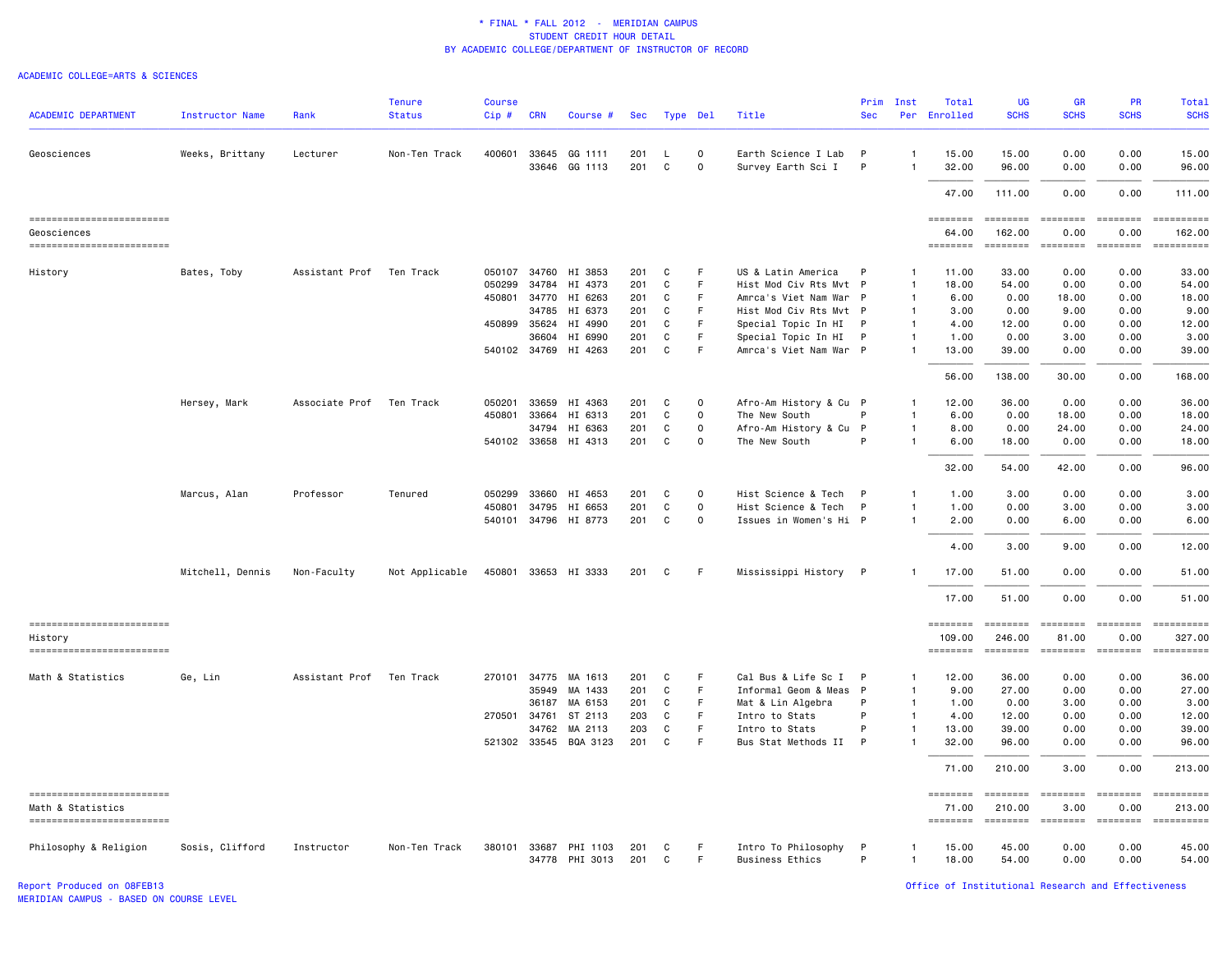#### ACADEMIC COLLEGE=ARTS & SCIENCES

| <b>ACADEMIC DEPARTMENT</b>                    |                        | Rank           | <b>Tenure</b><br><b>Status</b> | <b>Course</b> | <b>CRN</b>     | Course #              |            |          |             | Title                                         | Prim<br><b>Sec</b> | Inst<br>Per        | Total<br>Enrolled  | UG<br><b>SCHS</b>                                                                 | <b>GR</b><br><b>SCHS</b>                                                                                                                                                                                                                                                                                                                                                                                                                                                               | <b>PR</b><br><b>SCHS</b>                                                                                                                                                                                                                                                                                                                                                                                                                                                                       | <b>Total</b><br><b>SCHS</b> |
|-----------------------------------------------|------------------------|----------------|--------------------------------|---------------|----------------|-----------------------|------------|----------|-------------|-----------------------------------------------|--------------------|--------------------|--------------------|-----------------------------------------------------------------------------------|----------------------------------------------------------------------------------------------------------------------------------------------------------------------------------------------------------------------------------------------------------------------------------------------------------------------------------------------------------------------------------------------------------------------------------------------------------------------------------------|------------------------------------------------------------------------------------------------------------------------------------------------------------------------------------------------------------------------------------------------------------------------------------------------------------------------------------------------------------------------------------------------------------------------------------------------------------------------------------------------|-----------------------------|
|                                               | <b>Instructor Name</b> |                |                                | $Cip \#$      |                |                       | Sec        | Type Del |             |                                               |                    |                    |                    |                                                                                   |                                                                                                                                                                                                                                                                                                                                                                                                                                                                                        |                                                                                                                                                                                                                                                                                                                                                                                                                                                                                                |                             |
| Geosciences                                   | Weeks, Brittany        | Lecturer       | Non-Ten Track                  | 400601        |                | 33645 GG 1111         | 201        | L.       | $\mathbf 0$ | Earth Science I Lab                           | P                  | $\mathbf{1}$       | 15.00              | 15.00                                                                             | 0.00                                                                                                                                                                                                                                                                                                                                                                                                                                                                                   | 0.00                                                                                                                                                                                                                                                                                                                                                                                                                                                                                           | 15.00                       |
|                                               |                        |                |                                |               | 33646          | GG 1113               | 201        | C        | $\mathbf 0$ | Survey Earth Sci I                            | P                  | $\overline{1}$     | 32.00              | 96.00                                                                             | 0.00                                                                                                                                                                                                                                                                                                                                                                                                                                                                                   | 0.00                                                                                                                                                                                                                                                                                                                                                                                                                                                                                           | 96.00                       |
|                                               |                        |                |                                |               |                |                       |            |          |             |                                               |                    |                    | 47.00              | 111.00                                                                            | 0.00                                                                                                                                                                                                                                                                                                                                                                                                                                                                                   | 0.00                                                                                                                                                                                                                                                                                                                                                                                                                                                                                           | 111.00                      |
| ------------------------                      |                        |                |                                |               |                |                       |            |          |             |                                               |                    |                    | $= 222222222$      | ========                                                                          | $\begin{array}{cccccccccc} \multicolumn{2}{c}{} & \multicolumn{2}{c}{} & \multicolumn{2}{c}{} & \multicolumn{2}{c}{} & \multicolumn{2}{c}{} & \multicolumn{2}{c}{} & \multicolumn{2}{c}{} & \multicolumn{2}{c}{} & \multicolumn{2}{c}{} & \multicolumn{2}{c}{} & \multicolumn{2}{c}{} & \multicolumn{2}{c}{} & \multicolumn{2}{c}{} & \multicolumn{2}{c}{} & \multicolumn{2}{c}{} & \multicolumn{2}{c}{} & \multicolumn{2}{c}{} & \multicolumn{2}{c}{} & \multicolumn{2}{c}{} & \mult$ | ========                                                                                                                                                                                                                                                                                                                                                                                                                                                                                       | <b>EDECEMBER</b>            |
| Geosciences<br>-------------------------      |                        |                |                                |               |                |                       |            |          |             |                                               |                    |                    | 64.00              | 162.00<br>========                                                                | 0.00<br>$=$                                                                                                                                                                                                                                                                                                                                                                                                                                                                            | 0.00<br>$\begin{array}{cccccccccc} \multicolumn{2}{c}{} & \multicolumn{2}{c}{} & \multicolumn{2}{c}{} & \multicolumn{2}{c}{} & \multicolumn{2}{c}{} & \multicolumn{2}{c}{} & \multicolumn{2}{c}{} & \multicolumn{2}{c}{} & \multicolumn{2}{c}{} & \multicolumn{2}{c}{} & \multicolumn{2}{c}{} & \multicolumn{2}{c}{} & \multicolumn{2}{c}{} & \multicolumn{2}{c}{} & \multicolumn{2}{c}{} & \multicolumn{2}{c}{} & \multicolumn{2}{c}{} & \multicolumn{2}{c}{} & \multicolumn{2}{c}{} & \mult$ | 162.00<br>==========        |
| History                                       | Bates, Toby            | Assistant Prof | Ten Track                      | 050107        | 34760          | HI 3853               | 201        | C        | F           | US & Latin America                            | P                  | -1                 | 11.00              | 33.00                                                                             | 0.00                                                                                                                                                                                                                                                                                                                                                                                                                                                                                   | 0.00                                                                                                                                                                                                                                                                                                                                                                                                                                                                                           | 33.00                       |
|                                               |                        |                |                                | 050299        | 34784          | HI 4373               | 201        | C        | $\mathsf F$ | Hist Mod Civ Rts Mvt P                        |                    | $\mathbf{1}$       | 18.00              | 54.00                                                                             | 0.00                                                                                                                                                                                                                                                                                                                                                                                                                                                                                   | 0.00                                                                                                                                                                                                                                                                                                                                                                                                                                                                                           | 54.00                       |
|                                               |                        |                |                                | 450801        | 34770          | HI 6263               | 201        | C        | F           | Amrca's Viet Nam War P                        |                    | $\mathbf{1}$       | 6.00               | 0.00                                                                              | 18.00                                                                                                                                                                                                                                                                                                                                                                                                                                                                                  | 0.00                                                                                                                                                                                                                                                                                                                                                                                                                                                                                           | 18.00                       |
|                                               |                        |                |                                |               | 34785          | HI 6373               | 201        | C        | $\mathsf F$ | Hist Mod Civ Rts Mvt P                        |                    | $\mathbf{1}$       | 3.00               | 0.00                                                                              | 9.00                                                                                                                                                                                                                                                                                                                                                                                                                                                                                   | 0.00                                                                                                                                                                                                                                                                                                                                                                                                                                                                                           | 9.00                        |
|                                               |                        |                |                                | 450899        | 35624          | HI 4990               | 201        | C        | F           | Special Topic In HI                           |                    | $\mathbf{1}$       | 4.00               | 12.00                                                                             | 0.00                                                                                                                                                                                                                                                                                                                                                                                                                                                                                   | 0.00                                                                                                                                                                                                                                                                                                                                                                                                                                                                                           | 12.00                       |
|                                               |                        |                |                                |               | 36604          | HI 6990               | 201        | C        | $\mathsf F$ | Special Topic In HI                           | P                  | $\mathbf{1}$       | 1.00               | 0.00                                                                              | 3.00                                                                                                                                                                                                                                                                                                                                                                                                                                                                                   | 0.00                                                                                                                                                                                                                                                                                                                                                                                                                                                                                           | 3.00                        |
|                                               |                        |                |                                | 540102 34769  |                | HI 4263               | 201        | C        | F           | Amrca's Viet Nam War P                        |                    | $\mathbf{1}$       | 13.00              | 39.00                                                                             | 0.00                                                                                                                                                                                                                                                                                                                                                                                                                                                                                   | 0.00                                                                                                                                                                                                                                                                                                                                                                                                                                                                                           | 39.00                       |
|                                               |                        |                |                                |               |                |                       |            |          |             |                                               |                    |                    | 56.00              | 138.00                                                                            | 30.00                                                                                                                                                                                                                                                                                                                                                                                                                                                                                  | 0.00                                                                                                                                                                                                                                                                                                                                                                                                                                                                                           | 168.00                      |
|                                               | Hersey, Mark           | Associate Prof | Ten Track                      | 050201        | 33659          | HI 4363               | 201        | C        | $\mathbf 0$ | Afro-Am History & Cu P                        |                    | -1                 | 12.00              | 36.00                                                                             | 0.00                                                                                                                                                                                                                                                                                                                                                                                                                                                                                   | 0.00                                                                                                                                                                                                                                                                                                                                                                                                                                                                                           | 36.00                       |
|                                               |                        |                |                                | 450801        | 33664          | HI 6313               | 201        | C        | $\mathbf 0$ | The New South                                 | P                  | -1                 | 6.00               | 0.00                                                                              | 18.00                                                                                                                                                                                                                                                                                                                                                                                                                                                                                  | 0.00                                                                                                                                                                                                                                                                                                                                                                                                                                                                                           | 18.00                       |
|                                               |                        |                |                                |               | 34794          | HI 6363               | 201        | C        | $\mathbf 0$ | Afro-Am History & Cu P                        |                    | $\mathbf{1}$       | 8.00               | 0.00                                                                              | 24.00                                                                                                                                                                                                                                                                                                                                                                                                                                                                                  | 0.00                                                                                                                                                                                                                                                                                                                                                                                                                                                                                           | 24.00                       |
|                                               |                        |                |                                |               |                | 540102 33658 HI 4313  | 201        | C        | $\mathbf 0$ | The New South                                 | P                  | $\mathbf{1}$       | 6.00               | 18.00                                                                             | 0.00                                                                                                                                                                                                                                                                                                                                                                                                                                                                                   | 0.00                                                                                                                                                                                                                                                                                                                                                                                                                                                                                           | 18.00                       |
|                                               |                        |                |                                |               |                |                       |            |          |             |                                               |                    |                    | 32.00              | 54.00                                                                             | 42.00                                                                                                                                                                                                                                                                                                                                                                                                                                                                                  | 0.00                                                                                                                                                                                                                                                                                                                                                                                                                                                                                           | 96.00                       |
|                                               | Marcus, Alan           | Professor      | Tenured                        | 050299        | 33660          | HI 4653               | 201        | C        | $\mathbf 0$ | Hist Science & Tech                           | $\mathsf{P}$       | -1                 | 1.00               | 3.00                                                                              | 0.00                                                                                                                                                                                                                                                                                                                                                                                                                                                                                   | 0.00                                                                                                                                                                                                                                                                                                                                                                                                                                                                                           | 3.00                        |
|                                               |                        |                |                                | 450801        | 34795          | HI 6653               | 201        | C        | $\mathbf 0$ | Hist Science & Tech                           | P                  | $\mathbf{1}$       | 1.00               | 0.00                                                                              | 3.00                                                                                                                                                                                                                                                                                                                                                                                                                                                                                   | 0.00                                                                                                                                                                                                                                                                                                                                                                                                                                                                                           | 3.00                        |
|                                               |                        |                |                                |               |                | 540101 34796 HI 8773  | 201        | C        | $\mathbf 0$ | Issues in Women's Hi P                        |                    | $\mathbf{1}$       | 2.00               | 0.00                                                                              | 6.00                                                                                                                                                                                                                                                                                                                                                                                                                                                                                   | 0.00                                                                                                                                                                                                                                                                                                                                                                                                                                                                                           | 6.00                        |
|                                               |                        |                |                                |               |                |                       |            |          |             |                                               |                    |                    | 4.00               | 3.00                                                                              | 9.00                                                                                                                                                                                                                                                                                                                                                                                                                                                                                   | 0.00                                                                                                                                                                                                                                                                                                                                                                                                                                                                                           | 12.00                       |
|                                               | Mitchell, Dennis       | Non-Faculty    | Not Applicable                 |               |                | 450801 33653 HI 3333  | 201        | C        | -F          | Mississippi History                           | - P                |                    | 17.00              | 51.00                                                                             | 0.00                                                                                                                                                                                                                                                                                                                                                                                                                                                                                   | 0.00                                                                                                                                                                                                                                                                                                                                                                                                                                                                                           | 51.00                       |
|                                               |                        |                |                                |               |                |                       |            |          |             |                                               |                    |                    | 17.00              | 51.00                                                                             | 0.00                                                                                                                                                                                                                                                                                                                                                                                                                                                                                   | 0.00                                                                                                                                                                                                                                                                                                                                                                                                                                                                                           | 51.00                       |
|                                               |                        |                |                                |               |                |                       |            |          |             |                                               |                    |                    |                    |                                                                                   |                                                                                                                                                                                                                                                                                                                                                                                                                                                                                        |                                                                                                                                                                                                                                                                                                                                                                                                                                                                                                |                             |
| ------------------------                      |                        |                |                                |               |                |                       |            |          |             |                                               |                    |                    | $= 222222222$      | ========                                                                          | <b>EEEEEEEE</b>                                                                                                                                                                                                                                                                                                                                                                                                                                                                        | ========                                                                                                                                                                                                                                                                                                                                                                                                                                                                                       |                             |
| History<br>==========================         |                        |                |                                |               |                |                       |            |          |             |                                               |                    |                    | 109.00<br>======== | 246.00<br>$\qquad \qquad \equiv \equiv \equiv \equiv \equiv \equiv \equiv \equiv$ | 81.00<br>$=$ ========                                                                                                                                                                                                                                                                                                                                                                                                                                                                  | 0.00<br>$=$ ========                                                                                                                                                                                                                                                                                                                                                                                                                                                                           | 327.00<br>==========        |
|                                               |                        |                |                                |               |                |                       |            |          |             |                                               |                    |                    |                    | 36.00                                                                             |                                                                                                                                                                                                                                                                                                                                                                                                                                                                                        |                                                                                                                                                                                                                                                                                                                                                                                                                                                                                                | 36.00                       |
| Math & Statistics                             | Ge, Lin                | Assistant Prof | Ten Track                      | 270101        | 34775<br>35949 | MA 1613<br>MA 1433    | 201<br>201 | C<br>C   | F<br>F      | Cal Bus & Life Sc I<br>Informal Geom & Meas P | P                  | -1<br>$\mathbf{1}$ | 12.00<br>9.00      | 27.00                                                                             | 0.00<br>0.00                                                                                                                                                                                                                                                                                                                                                                                                                                                                           | 0.00<br>0.00                                                                                                                                                                                                                                                                                                                                                                                                                                                                                   | 27.00                       |
|                                               |                        |                |                                |               | 36187          | MA 6153               | 201        | C        | $\mathsf F$ | Mat & Lin Algebra                             | P                  | $\mathbf{1}$       | 1.00               | 0.00                                                                              | 3.00                                                                                                                                                                                                                                                                                                                                                                                                                                                                                   | 0.00                                                                                                                                                                                                                                                                                                                                                                                                                                                                                           | 3.00                        |
|                                               |                        |                |                                | 270501        | 34761          | ST 2113               | 203        | C        | $\mathsf F$ | Intro to Stats                                | P                  | $\mathbf{1}$       | 4.00               | 12.00                                                                             | 0.00                                                                                                                                                                                                                                                                                                                                                                                                                                                                                   | 0.00                                                                                                                                                                                                                                                                                                                                                                                                                                                                                           | 12.00                       |
|                                               |                        |                |                                |               | 34762          | MA 2113               | 203        | C        | $\mathsf F$ | Intro to Stats                                | P                  | $\mathbf{1}$       | 13.00              | 39.00                                                                             | 0.00                                                                                                                                                                                                                                                                                                                                                                                                                                                                                   | 0.00                                                                                                                                                                                                                                                                                                                                                                                                                                                                                           | 39.00                       |
|                                               |                        |                |                                |               |                | 521302 33545 BQA 3123 | 201        | C        | E           | Bus Stat Methods II                           | P                  | $\mathbf{1}$       | 32.00              | 96.00                                                                             | 0.00                                                                                                                                                                                                                                                                                                                                                                                                                                                                                   | 0.00                                                                                                                                                                                                                                                                                                                                                                                                                                                                                           | 96.00                       |
|                                               |                        |                |                                |               |                |                       |            |          |             |                                               |                    |                    | 71.00              | 210.00                                                                            | 3.00                                                                                                                                                                                                                                                                                                                                                                                                                                                                                   | 0.00                                                                                                                                                                                                                                                                                                                                                                                                                                                                                           | 213.00                      |
| ==========================                    |                        |                |                                |               |                |                       |            |          |             |                                               |                    |                    | ========           | ========                                                                          | $=$ ========                                                                                                                                                                                                                                                                                                                                                                                                                                                                           | ========                                                                                                                                                                                                                                                                                                                                                                                                                                                                                       | ==========                  |
| Math & Statistics<br>------------------------ |                        |                |                                |               |                |                       |            |          |             |                                               |                    |                    | 71.00<br>========  | 210.00<br>========                                                                | 3.00<br>========                                                                                                                                                                                                                                                                                                                                                                                                                                                                       | 0.00<br>========                                                                                                                                                                                                                                                                                                                                                                                                                                                                               | 213.00<br>==========        |
| Philosophy & Religion                         | Sosis, Clifford        | Instructor     | Non-Ten Track                  | 380101        |                | 33687 PHI 1103        | 201        | C        | F           | Intro To Philosophy                           | P                  | $\mathbf{1}$       | 15.00              | 45.00                                                                             | 0.00                                                                                                                                                                                                                                                                                                                                                                                                                                                                                   | 0.00                                                                                                                                                                                                                                                                                                                                                                                                                                                                                           | 45.00                       |
|                                               |                        |                |                                |               |                | 34778 PHI 3013        | 201        | C        | F           | <b>Business Ethics</b>                        | P                  | $\mathbf{1}$       | 18.00              | 54.00                                                                             | 0.00                                                                                                                                                                                                                                                                                                                                                                                                                                                                                   | 0.00                                                                                                                                                                                                                                                                                                                                                                                                                                                                                           | 54.00                       |

Report Produced on 08FEB13 Office of Institutional Research and Effectiveness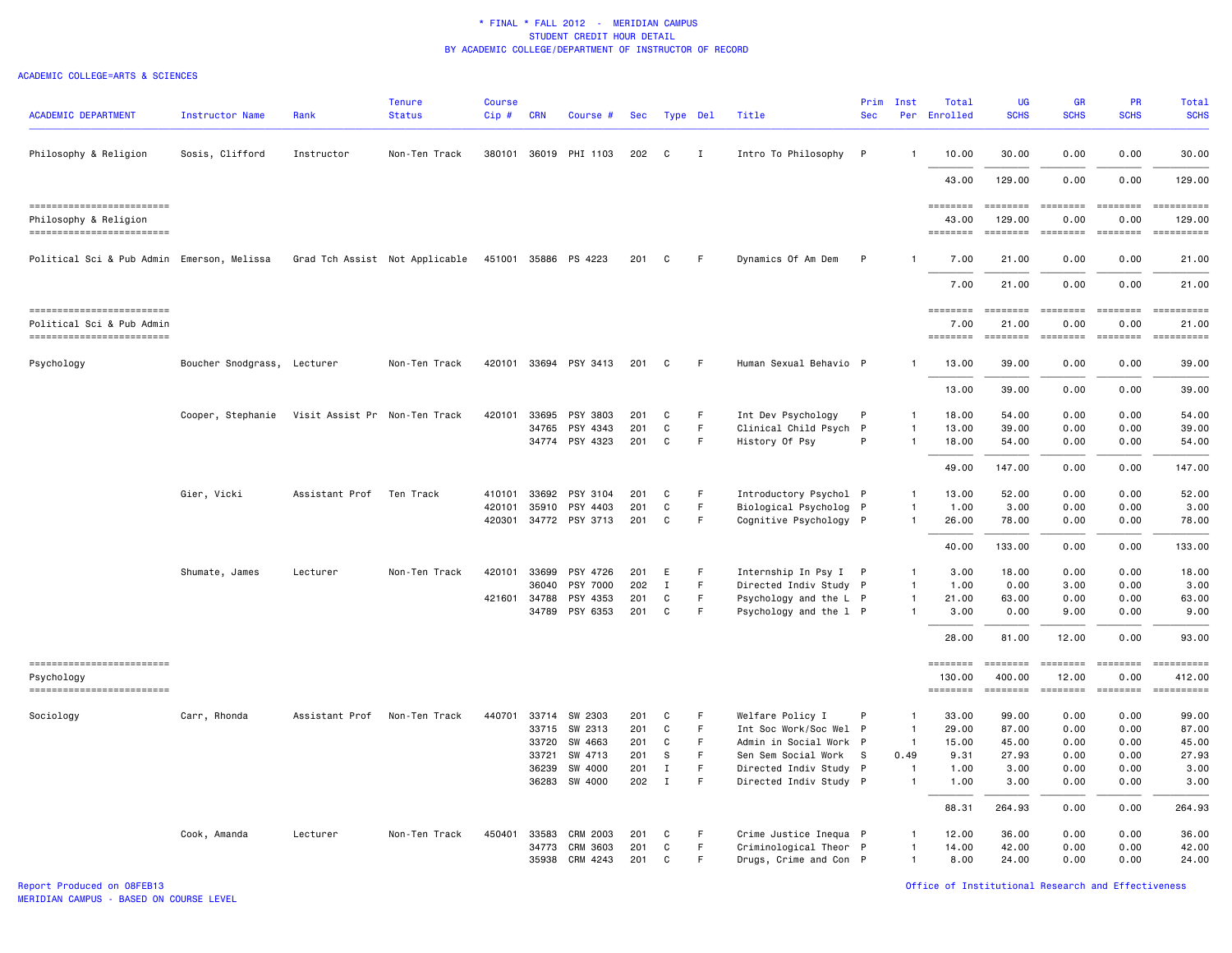| <b>ACADEMIC DEPARTMENT</b>                              | <b>Instructor Name</b>      | Rank                          | <b>Tenure</b><br><b>Status</b> | <b>Course</b><br>Cip# | <b>CRN</b>     | Course #              | Sec        |                   | Type Del    | Title                                         | Prim<br><b>Sec</b> | Inst           | Total<br>Per Enrolled | UG<br><b>SCHS</b>                                                                                                                                                                                                                                                                                                                                                                                                                                                                      | <b>GR</b><br><b>SCHS</b>                                                                                                                                                                                                                                                                                                                                                                                                                                                             | <b>PR</b><br><b>SCHS</b>                                                                                                                                                                                                                                                                                                                                                                                                                                                               | Total<br><b>SCHS</b>      |
|---------------------------------------------------------|-----------------------------|-------------------------------|--------------------------------|-----------------------|----------------|-----------------------|------------|-------------------|-------------|-----------------------------------------------|--------------------|----------------|-----------------------|----------------------------------------------------------------------------------------------------------------------------------------------------------------------------------------------------------------------------------------------------------------------------------------------------------------------------------------------------------------------------------------------------------------------------------------------------------------------------------------|--------------------------------------------------------------------------------------------------------------------------------------------------------------------------------------------------------------------------------------------------------------------------------------------------------------------------------------------------------------------------------------------------------------------------------------------------------------------------------------|----------------------------------------------------------------------------------------------------------------------------------------------------------------------------------------------------------------------------------------------------------------------------------------------------------------------------------------------------------------------------------------------------------------------------------------------------------------------------------------|---------------------------|
| Philosophy & Religion                                   | Sosis, Clifford             | Instructor                    | Non-Ten Track                  |                       |                | 380101 36019 PHI 1103 | 202        | C                 | Ι.          | Intro To Philosophy                           | $\mathsf{P}$       |                | 10.00                 | 30.00                                                                                                                                                                                                                                                                                                                                                                                                                                                                                  | 0.00                                                                                                                                                                                                                                                                                                                                                                                                                                                                                 | 0.00                                                                                                                                                                                                                                                                                                                                                                                                                                                                                   | 30.00                     |
|                                                         |                             |                               |                                |                       |                |                       |            |                   |             |                                               |                    |                | 43.00                 | 129.00                                                                                                                                                                                                                                                                                                                                                                                                                                                                                 | 0.00                                                                                                                                                                                                                                                                                                                                                                                                                                                                                 | 0.00                                                                                                                                                                                                                                                                                                                                                                                                                                                                                   | 129.00                    |
|                                                         |                             |                               |                                |                       |                |                       |            |                   |             |                                               |                    |                | ========              | $\begin{array}{cccccccccc} \multicolumn{2}{c}{} & \multicolumn{2}{c}{} & \multicolumn{2}{c}{} & \multicolumn{2}{c}{} & \multicolumn{2}{c}{} & \multicolumn{2}{c}{} & \multicolumn{2}{c}{} & \multicolumn{2}{c}{} & \multicolumn{2}{c}{} & \multicolumn{2}{c}{} & \multicolumn{2}{c}{} & \multicolumn{2}{c}{} & \multicolumn{2}{c}{} & \multicolumn{2}{c}{} & \multicolumn{2}{c}{} & \multicolumn{2}{c}{} & \multicolumn{2}{c}{} & \multicolumn{2}{c}{} & \multicolumn{2}{c}{} & \mult$ | $\begin{array}{cccccc} \multicolumn{2}{c}{} & \multicolumn{2}{c}{} & \multicolumn{2}{c}{} & \multicolumn{2}{c}{} & \multicolumn{2}{c}{} & \multicolumn{2}{c}{} & \multicolumn{2}{c}{} & \multicolumn{2}{c}{} & \multicolumn{2}{c}{} & \multicolumn{2}{c}{} & \multicolumn{2}{c}{} & \multicolumn{2}{c}{} & \multicolumn{2}{c}{} & \multicolumn{2}{c}{} & \multicolumn{2}{c}{} & \multicolumn{2}{c}{} & \multicolumn{2}{c}{} & \multicolumn{2}{c}{} & \multicolumn{2}{c}{} & \multic$ | $\begin{array}{cccccccccc} \multicolumn{2}{c}{} & \multicolumn{2}{c}{} & \multicolumn{2}{c}{} & \multicolumn{2}{c}{} & \multicolumn{2}{c}{} & \multicolumn{2}{c}{} & \multicolumn{2}{c}{} & \multicolumn{2}{c}{} & \multicolumn{2}{c}{} & \multicolumn{2}{c}{} & \multicolumn{2}{c}{} & \multicolumn{2}{c}{} & \multicolumn{2}{c}{} & \multicolumn{2}{c}{} & \multicolumn{2}{c}{} & \multicolumn{2}{c}{} & \multicolumn{2}{c}{} & \multicolumn{2}{c}{} & \multicolumn{2}{c}{} & \mult$ | $= 22222222222$           |
| Philosophy & Religion<br>------------------------       |                             |                               |                                |                       |                |                       |            |                   |             |                                               |                    |                | 43.00<br>========     | 129.00<br>========                                                                                                                                                                                                                                                                                                                                                                                                                                                                     | 0.00<br><b>SEBBEBEB</b>                                                                                                                                                                                                                                                                                                                                                                                                                                                              | 0.00<br>$\qquad \qquad \equiv \equiv \equiv \equiv \equiv \equiv \equiv \equiv$                                                                                                                                                                                                                                                                                                                                                                                                        | 129.00                    |
| Political Sci & Pub Admin Emerson, Melissa              |                             |                               | Grad Tch Assist Not Applicable |                       |                | 451001 35886 PS 4223  | 201        | C                 | -F          | Dynamics Of Am Dem                            | $\mathsf{P}$       |                | 7.00                  | 21.00                                                                                                                                                                                                                                                                                                                                                                                                                                                                                  | 0.00                                                                                                                                                                                                                                                                                                                                                                                                                                                                                 | 0.00                                                                                                                                                                                                                                                                                                                                                                                                                                                                                   | 21.00                     |
|                                                         |                             |                               |                                |                       |                |                       |            |                   |             |                                               |                    |                | 7.00                  | 21.00                                                                                                                                                                                                                                                                                                                                                                                                                                                                                  | 0.00                                                                                                                                                                                                                                                                                                                                                                                                                                                                                 | 0.00                                                                                                                                                                                                                                                                                                                                                                                                                                                                                   | 21.00                     |
| ==========================<br>Political Sci & Pub Admin |                             |                               |                                |                       |                |                       |            |                   |             |                                               |                    |                | ========<br>7.00      | $=$ = = = = = = =<br>21.00                                                                                                                                                                                                                                                                                                                                                                                                                                                             | <b>EBBBBBBB</b><br>0.00                                                                                                                                                                                                                                                                                                                                                                                                                                                              | <b>EBBEBBBB</b><br>0.00                                                                                                                                                                                                                                                                                                                                                                                                                                                                | <b>ESSESSESS</b><br>21.00 |
| ==========================                              |                             |                               |                                |                       |                |                       |            |                   |             |                                               |                    |                | <b>SESSESSE</b>       |                                                                                                                                                                                                                                                                                                                                                                                                                                                                                        | ======== =======                                                                                                                                                                                                                                                                                                                                                                                                                                                                     | $= 222222222$                                                                                                                                                                                                                                                                                                                                                                                                                                                                          |                           |
| Psychology                                              | Boucher Snodgrass, Lecturer |                               | Non-Ten Track                  |                       |                | 420101 33694 PSY 3413 | 201        | C                 | F           | Human Sexual Behavio P                        |                    | -1             | 13.00                 | 39.00                                                                                                                                                                                                                                                                                                                                                                                                                                                                                  | 0.00                                                                                                                                                                                                                                                                                                                                                                                                                                                                                 | 0.00                                                                                                                                                                                                                                                                                                                                                                                                                                                                                   | 39.00                     |
|                                                         |                             |                               |                                |                       |                |                       |            |                   |             |                                               |                    |                | 13.00                 | 39.00                                                                                                                                                                                                                                                                                                                                                                                                                                                                                  | 0.00                                                                                                                                                                                                                                                                                                                                                                                                                                                                                 | 0.00                                                                                                                                                                                                                                                                                                                                                                                                                                                                                   | 39.00                     |
|                                                         | Cooper, Stephanie           | Visit Assist Pr Non-Ten Track |                                | 420101                | 33695          | PSY 3803              | 201        | C                 | F.          | Int Dev Psychology                            | P                  | $\mathbf{1}$   | 18,00                 | 54.00                                                                                                                                                                                                                                                                                                                                                                                                                                                                                  | 0.00                                                                                                                                                                                                                                                                                                                                                                                                                                                                                 | 0.00                                                                                                                                                                                                                                                                                                                                                                                                                                                                                   | 54,00                     |
|                                                         |                             |                               |                                |                       | 34765          | PSY 4343              | 201        | C                 | F           | Clinical Child Psych P                        |                    | $\overline{1}$ | 13.00                 | 39.00                                                                                                                                                                                                                                                                                                                                                                                                                                                                                  | 0.00                                                                                                                                                                                                                                                                                                                                                                                                                                                                                 | 0.00                                                                                                                                                                                                                                                                                                                                                                                                                                                                                   | 39.00                     |
|                                                         |                             |                               |                                |                       |                | 34774 PSY 4323        | 201        | C                 | F.          | History Of Psy                                | P                  | $\mathbf{1}$   | 18.00                 | 54.00                                                                                                                                                                                                                                                                                                                                                                                                                                                                                  | 0.00                                                                                                                                                                                                                                                                                                                                                                                                                                                                                 | 0.00                                                                                                                                                                                                                                                                                                                                                                                                                                                                                   | 54.00                     |
|                                                         |                             |                               |                                |                       |                |                       |            |                   |             |                                               |                    |                | 49.00                 | 147.00                                                                                                                                                                                                                                                                                                                                                                                                                                                                                 | 0.00                                                                                                                                                                                                                                                                                                                                                                                                                                                                                 | 0.00                                                                                                                                                                                                                                                                                                                                                                                                                                                                                   | 147.00                    |
|                                                         | Gier, Vicki                 | Assistant Prof                | Ten Track                      | 410101                | 33692          | PSY 3104              | 201        | C                 | F.          | Introductory Psychol P                        |                    | $\mathbf{1}$   | 13.00                 | 52.00                                                                                                                                                                                                                                                                                                                                                                                                                                                                                  | 0.00                                                                                                                                                                                                                                                                                                                                                                                                                                                                                 | 0.00                                                                                                                                                                                                                                                                                                                                                                                                                                                                                   | 52.00                     |
|                                                         |                             |                               |                                | 420101                | 35910          | PSY 4403              | 201        | C                 | $\mathsf F$ | Biological Psycholog P                        |                    | $\mathbf{1}$   | 1.00                  | 3.00                                                                                                                                                                                                                                                                                                                                                                                                                                                                                   | 0.00                                                                                                                                                                                                                                                                                                                                                                                                                                                                                 | 0.00                                                                                                                                                                                                                                                                                                                                                                                                                                                                                   | 3.00                      |
|                                                         |                             |                               |                                |                       |                | 420301 34772 PSY 3713 | 201        | C                 | $\mathsf F$ | Cognitive Psychology P                        |                    | $\mathbf{1}$   | 26.00                 | 78.00                                                                                                                                                                                                                                                                                                                                                                                                                                                                                  | 0.00                                                                                                                                                                                                                                                                                                                                                                                                                                                                                 | 0.00                                                                                                                                                                                                                                                                                                                                                                                                                                                                                   | 78.00                     |
|                                                         |                             |                               |                                |                       |                |                       |            |                   |             |                                               |                    |                | 40.00                 | 133.00                                                                                                                                                                                                                                                                                                                                                                                                                                                                                 | 0.00                                                                                                                                                                                                                                                                                                                                                                                                                                                                                 | 0.00                                                                                                                                                                                                                                                                                                                                                                                                                                                                                   | 133.00                    |
|                                                         | Shumate, James              | Lecturer                      | Non-Ten Track                  | 420101                | 33699          | PSY 4726              | 201        | E                 | F           | Internship In Psy I P                         |                    | -1             | 3.00                  | 18.00                                                                                                                                                                                                                                                                                                                                                                                                                                                                                  | 0.00                                                                                                                                                                                                                                                                                                                                                                                                                                                                                 | 0.00                                                                                                                                                                                                                                                                                                                                                                                                                                                                                   | 18.00                     |
|                                                         |                             |                               |                                |                       | 36040          | PSY 7000              | 202        | $\mathbf I$       | F           | Directed Indiv Study P                        |                    | $\mathbf{1}$   | 1.00                  | 0.00                                                                                                                                                                                                                                                                                                                                                                                                                                                                                   | 3.00                                                                                                                                                                                                                                                                                                                                                                                                                                                                                 | 0.00                                                                                                                                                                                                                                                                                                                                                                                                                                                                                   | 3.00                      |
|                                                         |                             |                               |                                | 421601 34788          |                | PSY 4353              | 201        | C                 | F           | Psychology and the L P                        |                    | $\mathbf{1}$   | 21.00                 | 63.00                                                                                                                                                                                                                                                                                                                                                                                                                                                                                  | 0.00                                                                                                                                                                                                                                                                                                                                                                                                                                                                                 | 0.00                                                                                                                                                                                                                                                                                                                                                                                                                                                                                   | 63.00                     |
|                                                         |                             |                               |                                |                       | 34789          | PSY 6353              | 201        | C                 | F.          | Psychology and the 1 P                        |                    | -1             | 3.00                  | 0.00                                                                                                                                                                                                                                                                                                                                                                                                                                                                                   | 9.00                                                                                                                                                                                                                                                                                                                                                                                                                                                                                 | 0.00                                                                                                                                                                                                                                                                                                                                                                                                                                                                                   | 9.00                      |
|                                                         |                             |                               |                                |                       |                |                       |            |                   |             |                                               |                    |                | 28,00                 | 81.00                                                                                                                                                                                                                                                                                                                                                                                                                                                                                  | 12.00                                                                                                                                                                                                                                                                                                                                                                                                                                                                                | 0.00                                                                                                                                                                                                                                                                                                                                                                                                                                                                                   | 93.00                     |
| ------------------------<br>Psychology                  |                             |                               |                                |                       |                |                       |            |                   |             |                                               |                    |                | ========<br>130.00    | ========<br>400.00                                                                                                                                                                                                                                                                                                                                                                                                                                                                     | $= 222222222$<br>12.00                                                                                                                                                                                                                                                                                                                                                                                                                                                               | $= 222222222$<br>0.00                                                                                                                                                                                                                                                                                                                                                                                                                                                                  | 412.00                    |
| ------------------------                                |                             |                               |                                |                       |                |                       |            |                   |             |                                               |                    |                | ========              | ========                                                                                                                                                                                                                                                                                                                                                                                                                                                                               | <b>SEEBEEBE</b>                                                                                                                                                                                                                                                                                                                                                                                                                                                                      | <b>EDEDEDER</b>                                                                                                                                                                                                                                                                                                                                                                                                                                                                        |                           |
| Sociology                                               | Carr, Rhonda                | Assistant Prof                | Non-Ten Track                  | 440701                | 33714          | SW 2303               | 201        | C                 | F.          | Welfare Policy I                              | P                  | $\mathbf{1}$   | 33.00                 | 99.00                                                                                                                                                                                                                                                                                                                                                                                                                                                                                  | 0.00                                                                                                                                                                                                                                                                                                                                                                                                                                                                                 | 0.00                                                                                                                                                                                                                                                                                                                                                                                                                                                                                   | 99.00                     |
|                                                         |                             |                               |                                |                       | 33715          | SW 2313               | 201        | C                 | $\mathsf F$ | Int Soc Work/Soc Wel P                        |                    | $\overline{1}$ | 29.00                 | 87.00                                                                                                                                                                                                                                                                                                                                                                                                                                                                                  | 0.00                                                                                                                                                                                                                                                                                                                                                                                                                                                                                 | 0.00                                                                                                                                                                                                                                                                                                                                                                                                                                                                                   | 87.00                     |
|                                                         |                             |                               |                                |                       | 33720          | SW 4663               | 201        | $\mathtt{C}$      | F           | Admin in Social Work P                        |                    | $\overline{1}$ | 15.00                 | 45.00                                                                                                                                                                                                                                                                                                                                                                                                                                                                                  | 0.00                                                                                                                                                                                                                                                                                                                                                                                                                                                                                 | 0.00                                                                                                                                                                                                                                                                                                                                                                                                                                                                                   | 45.00                     |
|                                                         |                             |                               |                                |                       | 33721<br>36239 | SW 4713<br>SW 4000    | 201<br>201 | S<br>$\mathbf{I}$ | F<br>F      | Sen Sem Social Work<br>Directed Indiv Study P | - S                | 0.49<br>-1     | 9.31<br>1.00          | 27.93<br>3.00                                                                                                                                                                                                                                                                                                                                                                                                                                                                          | 0.00<br>0.00                                                                                                                                                                                                                                                                                                                                                                                                                                                                         | 0.00<br>0.00                                                                                                                                                                                                                                                                                                                                                                                                                                                                           | 27.93<br>3.00             |
|                                                         |                             |                               |                                |                       | 36283          | SW 4000               | 202        | $\mathbf{I}$      | F           | Directed Indiv Study P                        |                    | $\mathbf{1}$   | 1.00                  | 3.00                                                                                                                                                                                                                                                                                                                                                                                                                                                                                   | 0.00                                                                                                                                                                                                                                                                                                                                                                                                                                                                                 | 0.00                                                                                                                                                                                                                                                                                                                                                                                                                                                                                   | 3.00                      |
|                                                         |                             |                               |                                |                       |                |                       |            |                   |             |                                               |                    |                | 88.31                 | 264.93                                                                                                                                                                                                                                                                                                                                                                                                                                                                                 | 0.00                                                                                                                                                                                                                                                                                                                                                                                                                                                                                 | 0.00                                                                                                                                                                                                                                                                                                                                                                                                                                                                                   | 264.93                    |
|                                                         | Cook, Amanda                | Lecturer                      | Non-Ten Track                  | 450401                | 33583          | <b>CRM 2003</b>       | 201        | C                 | -F          | Crime Justice Inequa P                        |                    | $\mathbf{1}$   | 12.00                 | 36.00                                                                                                                                                                                                                                                                                                                                                                                                                                                                                  | 0.00                                                                                                                                                                                                                                                                                                                                                                                                                                                                                 | 0.00                                                                                                                                                                                                                                                                                                                                                                                                                                                                                   | 36.00                     |
|                                                         |                             |                               |                                |                       | 34773          | <b>CRM 3603</b>       | 201        | C                 | F           | Criminological Theor P                        |                    | -1             | 14.00                 | 42.00                                                                                                                                                                                                                                                                                                                                                                                                                                                                                  | 0.00                                                                                                                                                                                                                                                                                                                                                                                                                                                                                 | 0.00                                                                                                                                                                                                                                                                                                                                                                                                                                                                                   | 42.00                     |
|                                                         |                             |                               |                                |                       | 35938          | CRM 4243              | 201        | C                 | F           | Drugs, Crime and Con P                        |                    | $\mathbf{1}$   | 8.00                  | 24,00                                                                                                                                                                                                                                                                                                                                                                                                                                                                                  | 0.00                                                                                                                                                                                                                                                                                                                                                                                                                                                                                 | 0.00                                                                                                                                                                                                                                                                                                                                                                                                                                                                                   | 24,00                     |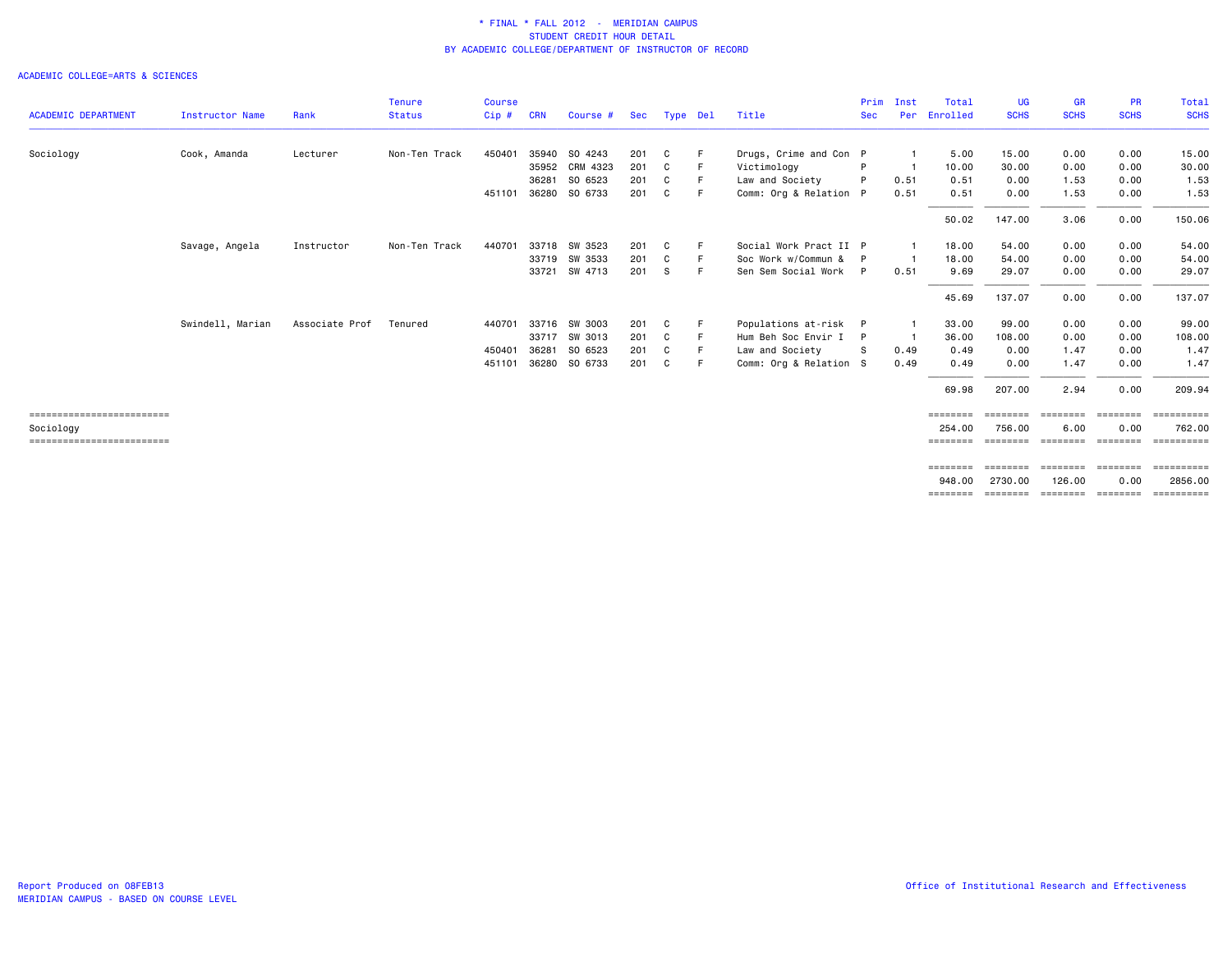|                            |                        |                | <b>Tenure</b> | <b>Course</b> |            |                |     |          |    |                        | Prim       | Inst | Total    | UG          | <b>GR</b>        | <b>PR</b>                 | Total            |
|----------------------------|------------------------|----------------|---------------|---------------|------------|----------------|-----|----------|----|------------------------|------------|------|----------|-------------|------------------|---------------------------|------------------|
| <b>ACADEMIC DEPARTMENT</b> | <b>Instructor Name</b> | Rank           | <b>Status</b> | Cip#          | <b>CRN</b> | Course #       | Sec | Type Del |    | Title                  | <b>Sec</b> | Per  | Enrolled | <b>SCHS</b> | <b>SCHS</b>      | <b>SCHS</b>               | <b>SCHS</b>      |
| Sociology                  | Cook, Amanda           | Lecturer       | Non-Ten Track | 450401        | 35940      | SO 4243        | 201 | C        | F  | Drugs, Crime and Con P |            |      | 5.00     | 15.00       | 0.00             | 0.00                      | 15.00            |
|                            |                        |                |               |               |            | 35952 CRM 4323 | 201 | C        | F  | Victimology            | P          |      | 10.00    | 30.00       | 0.00             | 0.00                      | 30.00            |
|                            |                        |                |               |               | 36281      | SO 6523        | 201 | C        | E  | Law and Society        |            | 0.51 | 0.51     | 0.00        | 1.53             | 0.00                      | 1.53             |
|                            |                        |                |               | 451101        | 36280      | SO 6733        | 201 | C        | E  | Comm: Org & Relation P |            | 0.51 | 0.51     | 0.00        | 1.53             | 0.00                      | 1.53             |
|                            |                        |                |               |               |            |                |     |          |    |                        |            |      | 50.02    | 147.00      | 3.06             | 0.00                      | 150.06           |
|                            | Savage, Angela         | Instructor     | Non-Ten Track | 440701        |            | 33718 SW 3523  | 201 | C        | -F | Social Work Pract II P |            |      | 18.00    | 54.00       | 0.00             | 0.00                      | 54.00            |
|                            |                        |                |               |               |            | 33719 SW 3533  | 201 | C        | F  | Soc Work w/Commun &    | P          |      | 18.00    | 54.00       | 0.00             | 0.00                      | 54.00            |
|                            |                        |                |               |               |            | 33721 SW 4713  | 201 | - S      | E  | Sen Sem Social Work P  |            | 0.51 | 9.69     | 29.07       | 0.00             | 0.00                      | 29.07            |
|                            |                        |                |               |               |            |                |     |          |    |                        |            |      | 45.69    | 137.07      | 0.00             | 0.00                      | 137.07           |
|                            | Swindell, Marian       | Associate Prof | Tenured       | 440701        |            | 33716 SW 3003  | 201 | C        | F  | Populations at-risk    | P          |      | 33.00    | 99.00       | 0.00             | 0.00                      | 99.00            |
|                            |                        |                |               |               |            | 33717 SW 3013  | 201 | C        | F  | Hum Beh Soc Envir I    | P          | -1   | 36.00    | 108,00      | 0.00             | 0.00                      | 108.00           |
|                            |                        |                |               | 450401        | 36281      | SO 6523        | 201 | C        | E  | Law and Society        | S          | 0.49 | 0.49     | 0.00        | 1.47             | 0.00                      | 1.47             |
|                            |                        |                |               | 451101        |            | 36280 SO 6733  | 201 | C        | E  | Comm: Org & Relation S |            | 0.49 | 0.49     | 0.00        | 1.47             | 0.00                      | 1.47             |
|                            |                        |                |               |               |            |                |     |          |    |                        |            |      | 69.98    | 207.00      | 2.94             | 0.00                      | 209.94           |
| ========================== |                        |                |               |               |            |                |     |          |    |                        |            |      | ======== | ========    | ========         | ========                  |                  |
| Sociology                  |                        |                |               |               |            |                |     |          |    |                        |            |      | 254,00   | 756.00      | 6.00             | 0.00                      | 762.00           |
| ========================== |                        |                |               |               |            |                |     |          |    |                        |            |      | ======== |             | ======== ======= | ========                  | <b>ESSESSEES</b> |
|                            |                        |                |               |               |            |                |     |          |    |                        |            |      | ======== |             |                  | -------- -------- ------- | ==========       |
|                            |                        |                |               |               |            |                |     |          |    |                        |            |      | 948,00   | 2730.00     | 126,00           | 0.00                      | 2856,00          |
|                            |                        |                |               |               |            |                |     |          |    |                        |            |      | ======== | ========    |                  | --------- --------        | <b>ESSESSESS</b> |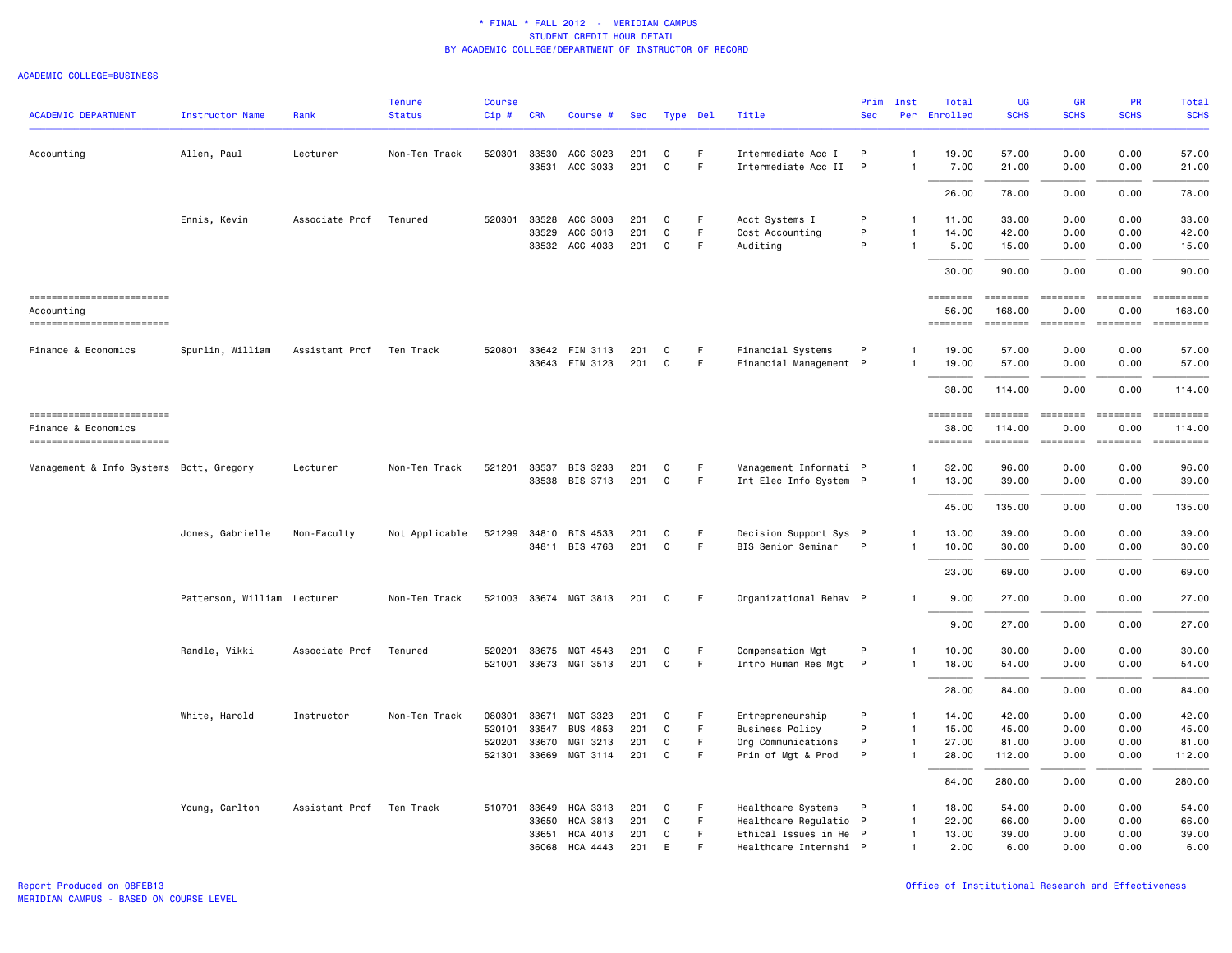#### ACADEMIC COLLEGE=BUSINESS

| <b>ACADEMIC DEPARTMENT</b>                        | <b>Instructor Name</b>      | Rank           | <b>Tenure</b><br><b>Status</b> | <b>Course</b><br>Cip# | <b>CRN</b> | Course #                   | <b>Sec</b> |        | Type Del | Title                  | Prim<br><b>Sec</b> | Inst<br>Per       | Total<br>Enrolled        | <b>UG</b><br><b>SCHS</b>                                                                                                                                                                                                                                                                                                                                                                                                                                                                         | GR<br><b>SCHS</b>                                                                                                                                                                                                                                                                                                                                                                                                                                                                      | PR<br><b>SCHS</b>                                                                                                                                                                                                                                                                                                                                                                                                                                                                      | <b>Total</b><br><b>SCHS</b>                                                                                                                                                                                                                                                                                                                                                                                                                                          |
|---------------------------------------------------|-----------------------------|----------------|--------------------------------|-----------------------|------------|----------------------------|------------|--------|----------|------------------------|--------------------|-------------------|--------------------------|--------------------------------------------------------------------------------------------------------------------------------------------------------------------------------------------------------------------------------------------------------------------------------------------------------------------------------------------------------------------------------------------------------------------------------------------------------------------------------------------------|----------------------------------------------------------------------------------------------------------------------------------------------------------------------------------------------------------------------------------------------------------------------------------------------------------------------------------------------------------------------------------------------------------------------------------------------------------------------------------------|----------------------------------------------------------------------------------------------------------------------------------------------------------------------------------------------------------------------------------------------------------------------------------------------------------------------------------------------------------------------------------------------------------------------------------------------------------------------------------------|----------------------------------------------------------------------------------------------------------------------------------------------------------------------------------------------------------------------------------------------------------------------------------------------------------------------------------------------------------------------------------------------------------------------------------------------------------------------|
| Accounting                                        | Allen, Paul                 | Lecturer       | Non-Ten Track                  | 520301 33530          |            | ACC 3023                   | 201        | C      | F.       | Intermediate Acc I     | P                  | $\mathbf{1}$      | 19.00                    | 57.00                                                                                                                                                                                                                                                                                                                                                                                                                                                                                            | 0.00                                                                                                                                                                                                                                                                                                                                                                                                                                                                                   | 0.00                                                                                                                                                                                                                                                                                                                                                                                                                                                                                   | 57.00                                                                                                                                                                                                                                                                                                                                                                                                                                                                |
|                                                   |                             |                |                                |                       | 33531      | ACC 3033                   | 201        | C      | F.       | Intermediate Acc II    | P                  | $\mathbf{1}$      | 7.00                     | 21.00                                                                                                                                                                                                                                                                                                                                                                                                                                                                                            | 0.00                                                                                                                                                                                                                                                                                                                                                                                                                                                                                   | 0.00                                                                                                                                                                                                                                                                                                                                                                                                                                                                                   | 21.00                                                                                                                                                                                                                                                                                                                                                                                                                                                                |
|                                                   |                             |                |                                |                       |            |                            |            |        |          |                        |                    |                   | 26.00                    | 78.00                                                                                                                                                                                                                                                                                                                                                                                                                                                                                            | 0.00                                                                                                                                                                                                                                                                                                                                                                                                                                                                                   | 0.00                                                                                                                                                                                                                                                                                                                                                                                                                                                                                   | 78.00                                                                                                                                                                                                                                                                                                                                                                                                                                                                |
|                                                   | Ennis, Kevin                | Associate Prof | Tenured                        | 520301                | 33528      | ACC 3003                   | 201        | C      | F        | Acct Systems I         | P                  | $\mathbf{1}$      | 11.00                    | 33.00                                                                                                                                                                                                                                                                                                                                                                                                                                                                                            | 0.00                                                                                                                                                                                                                                                                                                                                                                                                                                                                                   | 0.00                                                                                                                                                                                                                                                                                                                                                                                                                                                                                   | 33.00                                                                                                                                                                                                                                                                                                                                                                                                                                                                |
|                                                   |                             |                |                                |                       | 33529      | ACC 3013                   | 201        | C      | F        | Cost Accounting        | P                  | $\mathbf{1}$      | 14.00                    | 42.00                                                                                                                                                                                                                                                                                                                                                                                                                                                                                            | 0.00                                                                                                                                                                                                                                                                                                                                                                                                                                                                                   | 0.00                                                                                                                                                                                                                                                                                                                                                                                                                                                                                   | 42.00                                                                                                                                                                                                                                                                                                                                                                                                                                                                |
|                                                   |                             |                |                                |                       |            | 33532 ACC 4033             | 201        | C      | F.       | Auditing               | P                  | $\mathbf{1}$      | 5.00                     | 15.00                                                                                                                                                                                                                                                                                                                                                                                                                                                                                            | 0.00                                                                                                                                                                                                                                                                                                                                                                                                                                                                                   | 0.00                                                                                                                                                                                                                                                                                                                                                                                                                                                                                   | 15.00                                                                                                                                                                                                                                                                                                                                                                                                                                                                |
|                                                   |                             |                |                                |                       |            |                            |            |        |          |                        |                    |                   | 30.00                    | 90.00                                                                                                                                                                                                                                                                                                                                                                                                                                                                                            | 0.00                                                                                                                                                                                                                                                                                                                                                                                                                                                                                   | 0.00                                                                                                                                                                                                                                                                                                                                                                                                                                                                                   | 90.00                                                                                                                                                                                                                                                                                                                                                                                                                                                                |
| ------------------------                          |                             |                |                                |                       |            |                            |            |        |          |                        |                    |                   | ========                 | $\begin{array}{cccccc} \multicolumn{3}{c}{{\color{red}z}} & \multicolumn{3}{c}{{\color{red}z}} & \multicolumn{3}{c}{{\color{red}z}} & \multicolumn{3}{c}{{\color{red}z}} & \multicolumn{3}{c}{{\color{red}z}} & \multicolumn{3}{c}{{\color{red}z}} & \multicolumn{3}{c}{{\color{red}z}} & \multicolumn{3}{c}{{\color{red}z}} & \multicolumn{3}{c}{{\color{red}z}} & \multicolumn{3}{c}{{\color{red}z}} & \multicolumn{3}{c}{{\color{red}z}} & \multicolumn{3}{c}{{\color{red$                    |                                                                                                                                                                                                                                                                                                                                                                                                                                                                                        | $= = = = = = = =$                                                                                                                                                                                                                                                                                                                                                                                                                                                                      | $\begin{minipage}{0.03\linewidth} \hspace*{-0.2cm} \textbf{if the number of } \textit{if} \textit{if} \textit{if} \textit{if} \textit{if} \textit{if} \textit{if} \textit{if} \textit{if} \textit{if} \textit{if} \textit{if} \textit{if} \textit{if} \textit{if} \textit{if} \textit{if} \textit{if} \textit{if} \textit{if} \textit{if} \textit{if} \textit{if} \textit{if} \textit{if} \textit{if} \textit{if} \textit{if} \textit{if} \textit{if} \textit{if} \$ |
| Accounting<br>-------------------------           |                             |                |                                |                       |            |                            |            |        |          |                        |                    |                   | 56.00<br>========        | 168.00<br>$\begin{array}{cccccccccc} \multicolumn{2}{c}{} & \multicolumn{2}{c}{} & \multicolumn{2}{c}{} & \multicolumn{2}{c}{} & \multicolumn{2}{c}{} & \multicolumn{2}{c}{} & \multicolumn{2}{c}{} & \multicolumn{2}{c}{} & \multicolumn{2}{c}{} & \multicolumn{2}{c}{} & \multicolumn{2}{c}{} & \multicolumn{2}{c}{} & \multicolumn{2}{c}{} & \multicolumn{2}{c}{} & \multicolumn{2}{c}{} & \multicolumn{2}{c}{} & \multicolumn{2}{c}{} & \multicolumn{2}{c}{} & \multicolumn{2}{c}{} & \mult$ | 0.00<br>========                                                                                                                                                                                                                                                                                                                                                                                                                                                                       | 0.00<br>========                                                                                                                                                                                                                                                                                                                                                                                                                                                                       | 168.00<br>-----------                                                                                                                                                                                                                                                                                                                                                                                                                                                |
|                                                   |                             |                |                                |                       |            |                            |            |        |          |                        |                    |                   |                          |                                                                                                                                                                                                                                                                                                                                                                                                                                                                                                  |                                                                                                                                                                                                                                                                                                                                                                                                                                                                                        |                                                                                                                                                                                                                                                                                                                                                                                                                                                                                        |                                                                                                                                                                                                                                                                                                                                                                                                                                                                      |
| Finance & Economics                               | Spurlin, William            | Assistant Prof | Ten Track                      |                       |            | 520801 33642 FIN 3113      | 201        | C      | F        | Financial Systems      | P                  |                   | 19.00                    | 57.00                                                                                                                                                                                                                                                                                                                                                                                                                                                                                            | 0.00                                                                                                                                                                                                                                                                                                                                                                                                                                                                                   | 0.00                                                                                                                                                                                                                                                                                                                                                                                                                                                                                   | 57.00                                                                                                                                                                                                                                                                                                                                                                                                                                                                |
|                                                   |                             |                |                                |                       |            | 33643 FIN 3123             | 201        | C      | F.       | Financial Management P |                    |                   | 19.00                    | 57.00                                                                                                                                                                                                                                                                                                                                                                                                                                                                                            | 0.00                                                                                                                                                                                                                                                                                                                                                                                                                                                                                   | 0.00                                                                                                                                                                                                                                                                                                                                                                                                                                                                                   | 57.00                                                                                                                                                                                                                                                                                                                                                                                                                                                                |
|                                                   |                             |                |                                |                       |            |                            |            |        |          |                        |                    |                   | 38.00                    | 114.00                                                                                                                                                                                                                                                                                                                                                                                                                                                                                           | 0.00                                                                                                                                                                                                                                                                                                                                                                                                                                                                                   | 0.00                                                                                                                                                                                                                                                                                                                                                                                                                                                                                   | 114.00                                                                                                                                                                                                                                                                                                                                                                                                                                                               |
| -------------------------                         |                             |                |                                |                       |            |                            |            |        |          |                        |                    |                   | ========                 | $\begin{array}{cccccccccc} \multicolumn{2}{c}{} & \multicolumn{2}{c}{} & \multicolumn{2}{c}{} & \multicolumn{2}{c}{} & \multicolumn{2}{c}{} & \multicolumn{2}{c}{} & \multicolumn{2}{c}{} & \multicolumn{2}{c}{} & \multicolumn{2}{c}{} & \multicolumn{2}{c}{} & \multicolumn{2}{c}{} & \multicolumn{2}{c}{} & \multicolumn{2}{c}{} & \multicolumn{2}{c}{} & \multicolumn{2}{c}{} & \multicolumn{2}{c}{} & \multicolumn{2}{c}{} & \multicolumn{2}{c}{} & \multicolumn{2}{c}{} & \mult$           | $\begin{array}{cccccccccc} \multicolumn{2}{c}{} & \multicolumn{2}{c}{} & \multicolumn{2}{c}{} & \multicolumn{2}{c}{} & \multicolumn{2}{c}{} & \multicolumn{2}{c}{} & \multicolumn{2}{c}{} & \multicolumn{2}{c}{} & \multicolumn{2}{c}{} & \multicolumn{2}{c}{} & \multicolumn{2}{c}{} & \multicolumn{2}{c}{} & \multicolumn{2}{c}{} & \multicolumn{2}{c}{} & \multicolumn{2}{c}{} & \multicolumn{2}{c}{} & \multicolumn{2}{c}{} & \multicolumn{2}{c}{} & \multicolumn{2}{c}{} & \mult$ | $\begin{array}{cccccccccc} \multicolumn{2}{c}{} & \multicolumn{2}{c}{} & \multicolumn{2}{c}{} & \multicolumn{2}{c}{} & \multicolumn{2}{c}{} & \multicolumn{2}{c}{} & \multicolumn{2}{c}{} & \multicolumn{2}{c}{} & \multicolumn{2}{c}{} & \multicolumn{2}{c}{} & \multicolumn{2}{c}{} & \multicolumn{2}{c}{} & \multicolumn{2}{c}{} & \multicolumn{2}{c}{} & \multicolumn{2}{c}{} & \multicolumn{2}{c}{} & \multicolumn{2}{c}{} & \multicolumn{2}{c}{} & \multicolumn{2}{c}{} & \mult$ | ==========                                                                                                                                                                                                                                                                                                                                                                                                                                                           |
| Finance & Economics<br>========================== |                             |                |                                |                       |            |                            |            |        |          |                        |                    |                   | 38.00<br><b>EDESSERS</b> | 114.00<br><b>EEEEEEEE</b>                                                                                                                                                                                                                                                                                                                                                                                                                                                                        | 0.00                                                                                                                                                                                                                                                                                                                                                                                                                                                                                   | 0.00<br>ESSESSEE                                                                                                                                                                                                                                                                                                                                                                                                                                                                       | 114.00<br>==========                                                                                                                                                                                                                                                                                                                                                                                                                                                 |
|                                                   |                             |                |                                |                       |            |                            |            |        |          |                        |                    |                   |                          |                                                                                                                                                                                                                                                                                                                                                                                                                                                                                                  |                                                                                                                                                                                                                                                                                                                                                                                                                                                                                        |                                                                                                                                                                                                                                                                                                                                                                                                                                                                                        |                                                                                                                                                                                                                                                                                                                                                                                                                                                                      |
| Management & Info Systems Bott, Gregory           |                             | Lecturer       | Non-Ten Track                  | 521201                | 33537      | BIS 3233<br>33538 BIS 3713 | 201<br>201 | C<br>C | F<br>F.  | Management Informati P |                    | $\mathbf{1}$<br>1 | 32.00<br>13.00           | 96.00<br>39.00                                                                                                                                                                                                                                                                                                                                                                                                                                                                                   | 0.00<br>0.00                                                                                                                                                                                                                                                                                                                                                                                                                                                                           | 0.00<br>0.00                                                                                                                                                                                                                                                                                                                                                                                                                                                                           | 96.00<br>39.00                                                                                                                                                                                                                                                                                                                                                                                                                                                       |
|                                                   |                             |                |                                |                       |            |                            |            |        |          | Int Elec Info System P |                    |                   |                          |                                                                                                                                                                                                                                                                                                                                                                                                                                                                                                  |                                                                                                                                                                                                                                                                                                                                                                                                                                                                                        |                                                                                                                                                                                                                                                                                                                                                                                                                                                                                        |                                                                                                                                                                                                                                                                                                                                                                                                                                                                      |
|                                                   |                             |                |                                |                       |            |                            |            |        |          |                        |                    |                   | 45.00                    | 135.00                                                                                                                                                                                                                                                                                                                                                                                                                                                                                           | 0.00                                                                                                                                                                                                                                                                                                                                                                                                                                                                                   | 0.00                                                                                                                                                                                                                                                                                                                                                                                                                                                                                   | 135.00                                                                                                                                                                                                                                                                                                                                                                                                                                                               |
|                                                   | Jones, Gabrielle            | Non-Faculty    | Not Applicable                 |                       |            | 521299 34810 BIS 4533      | 201        | C      | F.       | Decision Support Sys P |                    | 1                 | 13.00                    | 39.00                                                                                                                                                                                                                                                                                                                                                                                                                                                                                            | 0.00                                                                                                                                                                                                                                                                                                                                                                                                                                                                                   | 0.00                                                                                                                                                                                                                                                                                                                                                                                                                                                                                   | 39.00                                                                                                                                                                                                                                                                                                                                                                                                                                                                |
|                                                   |                             |                |                                |                       |            | 34811 BIS 4763             | 201        | C      | F        | BIS Senior Seminar     | P                  | $\mathbf{1}$      | 10.00                    | 30.00                                                                                                                                                                                                                                                                                                                                                                                                                                                                                            | 0.00                                                                                                                                                                                                                                                                                                                                                                                                                                                                                   | 0.00                                                                                                                                                                                                                                                                                                                                                                                                                                                                                   | 30.00                                                                                                                                                                                                                                                                                                                                                                                                                                                                |
|                                                   |                             |                |                                |                       |            |                            |            |        |          |                        |                    |                   | 23.00                    | 69.00                                                                                                                                                                                                                                                                                                                                                                                                                                                                                            | 0.00                                                                                                                                                                                                                                                                                                                                                                                                                                                                                   | 0.00                                                                                                                                                                                                                                                                                                                                                                                                                                                                                   | 69.00                                                                                                                                                                                                                                                                                                                                                                                                                                                                |
|                                                   | Patterson, William Lecturer |                | Non-Ten Track                  |                       |            | 521003 33674 MGT 3813      | 201        | C      | F        | Organizational Behav P |                    | $\mathbf{1}$      | 9.00                     | 27.00                                                                                                                                                                                                                                                                                                                                                                                                                                                                                            | 0.00                                                                                                                                                                                                                                                                                                                                                                                                                                                                                   | 0.00                                                                                                                                                                                                                                                                                                                                                                                                                                                                                   | 27.00                                                                                                                                                                                                                                                                                                                                                                                                                                                                |
|                                                   |                             |                |                                |                       |            |                            |            |        |          |                        |                    |                   | 9.00                     | 27.00                                                                                                                                                                                                                                                                                                                                                                                                                                                                                            | 0.00                                                                                                                                                                                                                                                                                                                                                                                                                                                                                   | 0.00                                                                                                                                                                                                                                                                                                                                                                                                                                                                                   | 27.00                                                                                                                                                                                                                                                                                                                                                                                                                                                                |
|                                                   | Randle, Vikki               | Associate Prof | Tenured                        | 520201                |            | 33675 MGT 4543             | 201        | C      | F        | Compensation Mgt       | P                  | $\mathbf{1}$      | 10.00                    | 30.00                                                                                                                                                                                                                                                                                                                                                                                                                                                                                            | 0.00                                                                                                                                                                                                                                                                                                                                                                                                                                                                                   | 0.00                                                                                                                                                                                                                                                                                                                                                                                                                                                                                   | 30.00                                                                                                                                                                                                                                                                                                                                                                                                                                                                |
|                                                   |                             |                |                                | 521001                | 33673      | MGT 3513                   | 201        | C      | F.       | Intro Human Res Mgt    | $\mathsf{P}$       | 1                 | 18.00                    | 54.00                                                                                                                                                                                                                                                                                                                                                                                                                                                                                            | 0.00                                                                                                                                                                                                                                                                                                                                                                                                                                                                                   | 0.00                                                                                                                                                                                                                                                                                                                                                                                                                                                                                   | 54.00                                                                                                                                                                                                                                                                                                                                                                                                                                                                |
|                                                   |                             |                |                                |                       |            |                            |            |        |          |                        |                    |                   | 28.00                    | 84.00                                                                                                                                                                                                                                                                                                                                                                                                                                                                                            | 0.00                                                                                                                                                                                                                                                                                                                                                                                                                                                                                   | 0.00                                                                                                                                                                                                                                                                                                                                                                                                                                                                                   | 84.00                                                                                                                                                                                                                                                                                                                                                                                                                                                                |
|                                                   | White, Harold               | Instructor     | Non-Ten Track                  | 080301                | 33671      | MGT 3323                   | 201        | C      | F        | Entrepreneurship       | P                  | 1                 | 14.00                    | 42.00                                                                                                                                                                                                                                                                                                                                                                                                                                                                                            | 0.00                                                                                                                                                                                                                                                                                                                                                                                                                                                                                   | 0.00                                                                                                                                                                                                                                                                                                                                                                                                                                                                                   | 42.00                                                                                                                                                                                                                                                                                                                                                                                                                                                                |
|                                                   |                             |                |                                | 520101                | 33547      | <b>BUS 4853</b>            | 201        | C      | F        | <b>Business Policy</b> | P                  | $\mathbf{1}$      | 15.00                    | 45.00                                                                                                                                                                                                                                                                                                                                                                                                                                                                                            | 0.00                                                                                                                                                                                                                                                                                                                                                                                                                                                                                   | 0.00                                                                                                                                                                                                                                                                                                                                                                                                                                                                                   | 45.00                                                                                                                                                                                                                                                                                                                                                                                                                                                                |
|                                                   |                             |                |                                | 520201                | 33670      | MGT 3213                   | 201        | C      | F        | Org Communications     | P                  | $\mathbf{1}$      | 27.00                    | 81.00                                                                                                                                                                                                                                                                                                                                                                                                                                                                                            | 0.00                                                                                                                                                                                                                                                                                                                                                                                                                                                                                   | 0.00                                                                                                                                                                                                                                                                                                                                                                                                                                                                                   | 81.00                                                                                                                                                                                                                                                                                                                                                                                                                                                                |
|                                                   |                             |                |                                | 521301 33669          |            | MGT 3114                   | 201        | C      | F        | Prin of Mgt & Prod     | P                  | $\mathbf{1}$      | 28.00                    | 112.00                                                                                                                                                                                                                                                                                                                                                                                                                                                                                           | 0.00                                                                                                                                                                                                                                                                                                                                                                                                                                                                                   | 0.00                                                                                                                                                                                                                                                                                                                                                                                                                                                                                   | 112.00                                                                                                                                                                                                                                                                                                                                                                                                                                                               |
|                                                   |                             |                |                                |                       |            |                            |            |        |          |                        |                    |                   | 84.00                    | 280.00                                                                                                                                                                                                                                                                                                                                                                                                                                                                                           | 0.00                                                                                                                                                                                                                                                                                                                                                                                                                                                                                   | 0.00                                                                                                                                                                                                                                                                                                                                                                                                                                                                                   | 280.00                                                                                                                                                                                                                                                                                                                                                                                                                                                               |
|                                                   | Young, Carlton              | Assistant Prof | Ten Track                      | 510701                | 33649      | HCA 3313                   | 201        | C      | F        | Healthcare Systems     | P                  | $\mathbf{1}$      | 18.00                    | 54.00                                                                                                                                                                                                                                                                                                                                                                                                                                                                                            | 0.00                                                                                                                                                                                                                                                                                                                                                                                                                                                                                   | 0.00                                                                                                                                                                                                                                                                                                                                                                                                                                                                                   | 54.00                                                                                                                                                                                                                                                                                                                                                                                                                                                                |
|                                                   |                             |                |                                |                       | 33650      | <b>HCA 3813</b>            | 201        | C      | F        | Healthcare Regulatio P |                    | $\overline{1}$    | 22.00                    | 66.00                                                                                                                                                                                                                                                                                                                                                                                                                                                                                            | 0.00                                                                                                                                                                                                                                                                                                                                                                                                                                                                                   | 0.00                                                                                                                                                                                                                                                                                                                                                                                                                                                                                   | 66.00                                                                                                                                                                                                                                                                                                                                                                                                                                                                |
|                                                   |                             |                |                                |                       | 33651      | HCA 4013                   | 201        | C      | F.       | Ethical Issues in He P |                    | $\mathbf{1}$      | 13.00                    | 39,00                                                                                                                                                                                                                                                                                                                                                                                                                                                                                            | 0.00                                                                                                                                                                                                                                                                                                                                                                                                                                                                                   | 0.00                                                                                                                                                                                                                                                                                                                                                                                                                                                                                   | 39.00                                                                                                                                                                                                                                                                                                                                                                                                                                                                |
|                                                   |                             |                |                                |                       | 36068      | <b>HCA 4443</b>            | 201        | E      | F        | Healthcare Internshi P |                    | $\mathbf{1}$      | 2.00                     | 6.00                                                                                                                                                                                                                                                                                                                                                                                                                                                                                             | 0.00                                                                                                                                                                                                                                                                                                                                                                                                                                                                                   | 0.00                                                                                                                                                                                                                                                                                                                                                                                                                                                                                   | 6.00                                                                                                                                                                                                                                                                                                                                                                                                                                                                 |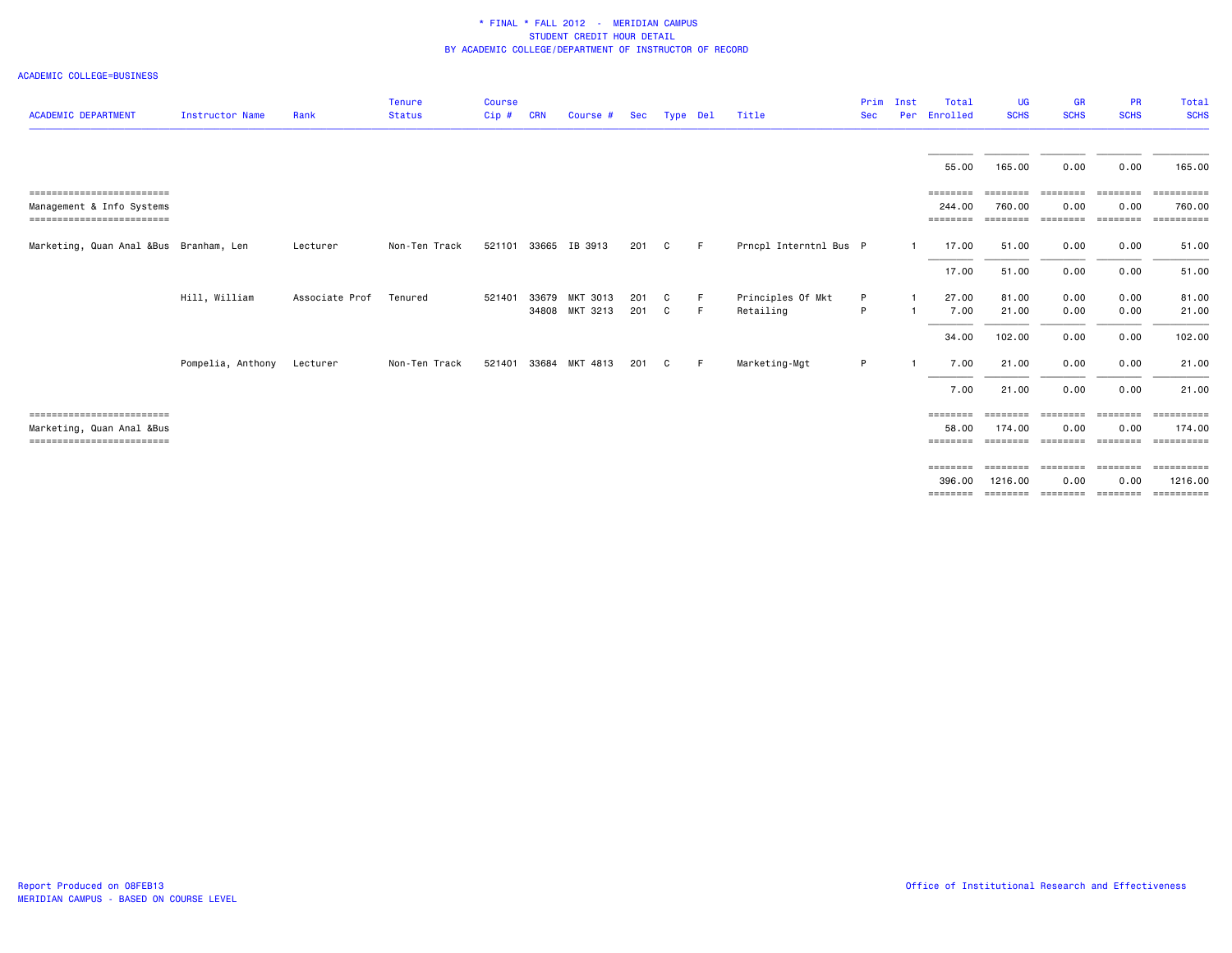#### ACADEMIC COLLEGE=BUSINESS

| <b>ACADEMIC DEPARTMENT</b>                                                           | <b>Instructor Name</b> | Rank           | <b>Tenure</b><br><b>Status</b> | <b>Course</b><br>Cip# | <b>CRN</b> | Course #                   | Sec        | Type Del |          | Title                          | Prim<br><b>Sec</b> | Inst<br>Per | Total<br>Enrolled              | <b>UG</b><br><b>SCHS</b> | <b>GR</b><br><b>SCHS</b>              | <b>PR</b><br><b>SCHS</b>     | Total<br><b>SCHS</b>                      |
|--------------------------------------------------------------------------------------|------------------------|----------------|--------------------------------|-----------------------|------------|----------------------------|------------|----------|----------|--------------------------------|--------------------|-------------|--------------------------------|--------------------------|---------------------------------------|------------------------------|-------------------------------------------|
|                                                                                      |                        |                |                                |                       |            |                            |            |          |          |                                |                    |             | 55.00                          | 165.00                   | 0.00                                  | 0.00                         | 165.00                                    |
| ==========================<br>Management & Info Systems<br>------------------------  |                        |                |                                |                       |            |                            |            |          |          |                                |                    |             | ========<br>244.00<br>======== | ========<br>760.00       | ========<br>0.00<br>================= | ========<br>0.00<br>======== | ==========<br>760.00<br>==========        |
| Marketing, Quan Anal &Bus Branham, Len                                               |                        | Lecturer       | Non-Ten Track                  |                       |            | 521101 33665 IB 3913       | 201        | C        | -F       | Prncpl Interntnl Bus P         |                    |             | 17.00                          | 51.00                    | 0.00                                  | 0.00                         | 51.00                                     |
|                                                                                      |                        |                |                                |                       |            |                            |            |          |          |                                |                    |             | 17.00                          | 51.00                    | 0.00                                  | 0.00                         | 51.00                                     |
|                                                                                      | Hill, William          | Associate Prof | Tenured                        | 521401                | 33679      | MKT 3013<br>34808 MKT 3213 | 201<br>201 | C.<br>C. | -F<br>-F | Principles Of Mkt<br>Retailing | P<br>P             |             | 27.00<br>7.00                  | 81.00<br>21.00           | 0.00<br>0.00                          | 0.00<br>0.00                 | 81.00<br>21.00                            |
|                                                                                      |                        |                |                                |                       |            |                            |            |          |          |                                |                    |             | 34.00                          | 102.00                   | 0.00                                  | 0.00                         | 102.00                                    |
|                                                                                      | Pompelia, Anthony      | Lecturer       | Non-Ten Track                  | 521401 33684          |            | MKT 4813                   | 201        | C.       | -F       | Marketing-Mgt                  | P                  |             | 7.00                           | 21.00                    | 0.00                                  | 0.00                         | 21.00                                     |
|                                                                                      |                        |                |                                |                       |            |                            |            |          |          |                                |                    |             | 7.00                           | 21.00                    | 0.00                                  | 0.00                         | 21.00                                     |
| ==========================<br>Marketing, Quan Anal &Bus<br>------------------------- |                        |                |                                |                       |            |                            |            |          |          |                                |                    |             | ========<br>58.00<br>========  | ========<br>174.00       | eeeeeee<br>0.00                       | ========<br>0.00             | <b>EEEEEEEEE</b><br>174.00                |
|                                                                                      |                        |                |                                |                       |            |                            |            |          |          |                                |                    |             | ========<br>396.00<br>======== | 1216.00<br>========      | sessesse sessess<br>0.00<br>========  | ========<br>0.00<br>======== | ==========<br>1216,00<br><b>EEEEEEEEE</b> |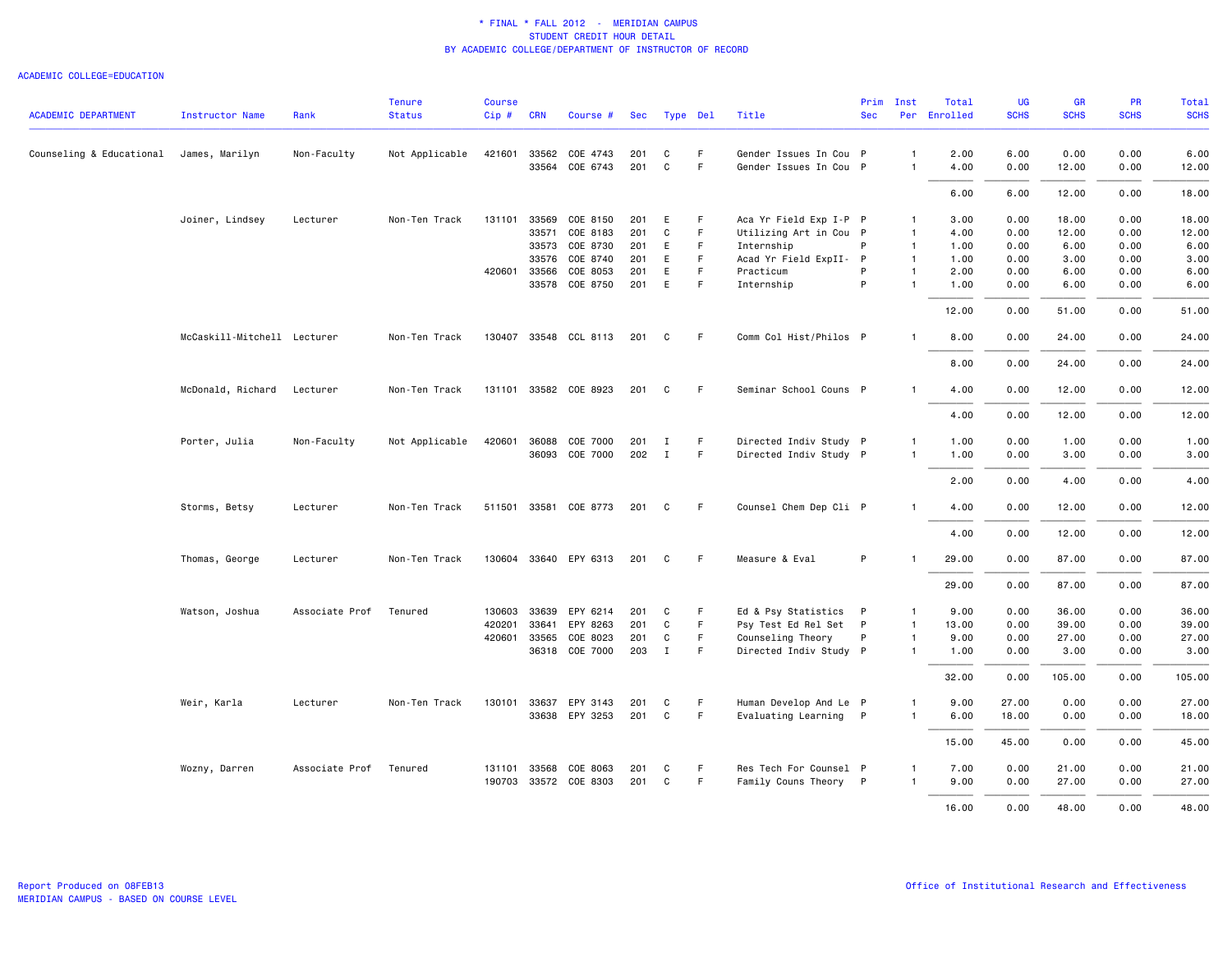|                                         |                             |                | <b>Tenure</b>  | <b>Course</b> |              |                       |     |              |             |                        | Prim       | Inst           | Total        | <b>UG</b>   | <b>GR</b>   | PR          | Total       |
|-----------------------------------------|-----------------------------|----------------|----------------|---------------|--------------|-----------------------|-----|--------------|-------------|------------------------|------------|----------------|--------------|-------------|-------------|-------------|-------------|
| <b>ACADEMIC DEPARTMENT</b>              | <b>Instructor Name</b>      | Rank           | <b>Status</b>  | $Cip \#$      | <b>CRN</b>   | Course #              | Sec | Type Del     |             | Title                  | <b>Sec</b> |                | Per Enrolled | <b>SCHS</b> | <b>SCHS</b> | <b>SCHS</b> | <b>SCHS</b> |
| Counseling & Educational James, Marilyn |                             | Non-Faculty    | Not Applicable | 421601        | 33562        | COE 4743              | 201 | C            | F.          | Gender Issues In Cou P |            | $\mathbf{1}$   | 2.00         | 6.00        | 0.00        | 0.00        | 6.00        |
|                                         |                             |                |                |               | 33564        | COE 6743              | 201 | C            | F.          | Gender Issues In Cou P |            | $\mathbf{1}$   | 4.00         | 0.00        | 12.00       | 0.00        | 12.00       |
|                                         |                             |                |                |               |              |                       |     |              |             |                        |            |                | 6.00         | 6.00        | 12.00       | 0.00        | 18.00       |
|                                         | Joiner, Lindsey             | Lecturer       | Non-Ten Track  | 131101        | 33569        | COE 8150              | 201 | E            | F           | Aca Yr Field Exp I-P P |            | $\mathbf{1}$   | 3.00         | 0.00        | 18.00       | 0.00        | 18.00       |
|                                         |                             |                |                |               | 33571        | COE 8183              | 201 | C            | F.          | Utilizing Art in Cou P |            | $\overline{1}$ | 4.00         | 0.00        | 12.00       | 0.00        | 12.00       |
|                                         |                             |                |                |               | 33573        | COE 8730              | 201 | E            | $\mathsf F$ | Internship             | P          | $\overline{1}$ | 1.00         | 0.00        | 6.00        | 0.00        | 6.00        |
|                                         |                             |                |                |               | 33576        | COE 8740              | 201 | E            | F.          | Acad Yr Field ExpII- P |            | $\mathbf{1}$   | 1.00         | 0.00        | 3.00        | 0.00        | 3.00        |
|                                         |                             |                |                |               | 420601 33566 | COE 8053              | 201 | E            | F.          | Practicum              | P          | $\mathbf{1}$   | 2.00         | 0.00        | 6.00        | 0.00        | 6.00        |
|                                         |                             |                |                |               | 33578        | COE 8750              | 201 | E            | F           | Internship             | P          | $\mathbf{1}$   | 1.00         | 0.00        | 6.00        | 0.00        | 6.00        |
|                                         |                             |                |                |               |              |                       |     |              |             |                        |            |                | 12.00        | 0.00        | 51.00       | 0.00        | 51.00       |
|                                         | McCaskill-Mitchell Lecturer |                | Non-Ten Track  |               |              | 130407 33548 CCL 8113 | 201 | C            | F.          | Comm Col Hist/Philos P |            | $\mathbf{1}$   | 8.00         | 0.00        | 24.00       | 0.00        | 24.00       |
|                                         |                             |                |                |               |              |                       |     |              |             |                        |            |                | 8.00         | 0.00        | 24.00       | 0.00        | 24.00       |
|                                         | McDonald, Richard           | Lecturer       | Non-Ten Track  |               |              | 131101 33582 COE 8923 | 201 | C            | F           | Seminar School Couns P |            | $\mathbf{1}$   | 4.00         | 0.00        | 12.00       | 0.00        | 12.00       |
|                                         |                             |                |                |               |              |                       |     |              |             |                        |            |                | 4.00         | 0.00        | 12.00       | 0.00        | 12.00       |
|                                         | Porter, Julia               | Non-Faculty    | Not Applicable | 420601        | 36088        | COE 7000              | 201 | Ι.           | F           | Directed Indiv Study P |            | $\mathbf{1}$   | 1.00         | 0.00        | 1.00        | 0.00        | 1.00        |
|                                         |                             |                |                |               |              | 36093 COE 7000        | 202 | $\mathbf{I}$ | F.          | Directed Indiv Study P |            | $\mathbf{1}$   | 1.00         | 0.00        | 3.00        | 0.00        | 3.00        |
|                                         |                             |                |                |               |              |                       |     |              |             |                        |            |                | 2.00         | 0.00        | 4.00        | 0.00        | 4.00        |
|                                         | Storms, Betsy               | Lecturer       | Non-Ten Track  |               |              | 511501 33581 COE 8773 | 201 | C            | F.          | Counsel Chem Dep Cli P |            | $\mathbf{1}$   | 4.00         | 0.00        | 12.00       | 0.00        | 12.00       |
|                                         |                             |                |                |               |              |                       |     |              |             |                        |            |                | 4.00         | 0.00        | 12.00       | 0.00        | 12.00       |
|                                         |                             |                |                |               |              |                       |     |              |             |                        |            |                |              |             |             |             |             |
|                                         | Thomas, George              | Lecturer       | Non-Ten Track  |               |              | 130604 33640 EPY 6313 | 201 | C            | -F          | Measure & Eval         | P          |                | 29.00        | 0.00        | 87.00       | 0.00        | 87.00       |
|                                         |                             |                |                |               |              |                       |     |              |             |                        |            |                | 29.00        | 0.00        | 87.00       | 0.00        | 87.00       |
|                                         | Watson, Joshua              | Associate Prof | Tenured        | 130603        | 33639        | EPY 6214              | 201 | C            | F           | Ed & Psy Statistics P  |            | $\mathbf{1}$   | 9.00         | 0.00        | 36.00       | 0.00        | 36.00       |
|                                         |                             |                |                | 420201        | 33641        | EPY 8263              | 201 | C            | F.          | Psy Test Ed Rel Set P  |            | $\mathbf{1}$   | 13.00        | 0.00        | 39.00       | 0.00        | 39.00       |
|                                         |                             |                |                | 420601        | 33565        | COE 8023              | 201 | C            | F           | Counseling Theory      | P          | $\mathbf{1}$   | 9.00         | 0.00        | 27.00       | 0.00        | 27.00       |
|                                         |                             |                |                |               |              | 36318 COE 7000        | 203 | $\mathbf{I}$ | F.          | Directed Indiv Study P |            | $\mathbf{1}$   | 1.00         | 0.00        | 3.00        | 0.00        | 3.00        |
|                                         |                             |                |                |               |              |                       |     |              |             |                        |            |                | 32.00        | 0.00        | 105.00      | 0.00        | 105.00      |
|                                         | Weir, Karla                 | Lecturer       | Non-Ten Track  |               |              | 130101 33637 EPY 3143 | 201 | C            | F           | Human Develop And Le P |            | $\mathbf{1}$   | 9.00         | 27.00       | 0.00        | 0.00        | 27.00       |
|                                         |                             |                |                |               |              | 33638 EPY 3253        | 201 | C            | F.          | Evaluating Learning P  |            | $\mathbf{1}$   | 6.00         | 18.00       | 0.00        | 0.00        | 18.00       |
|                                         |                             |                |                |               |              |                       |     |              |             |                        |            |                | 15.00        | 45.00       | 0.00        | 0.00        | 45.00       |
|                                         | Wozny, Darren               | Associate Prof | Tenured        | 131101        | 33568        | COE 8063              | 201 | C            | F           | Res Tech For Counsel P |            | $\mathbf{1}$   | 7.00         | 0.00        | 21.00       | 0.00        | 21.00       |
|                                         |                             |                |                |               |              | 190703 33572 COE 8303 | 201 | C            | F           | Family Couns Theory P  |            | $\mathbf{1}$   | 9.00         | 0.00        | 27.00       | 0.00        | 27.00       |
|                                         |                             |                |                |               |              |                       |     |              |             |                        |            |                | 16.00        | 0.00        | 48.00       | 0.00        | 48.00       |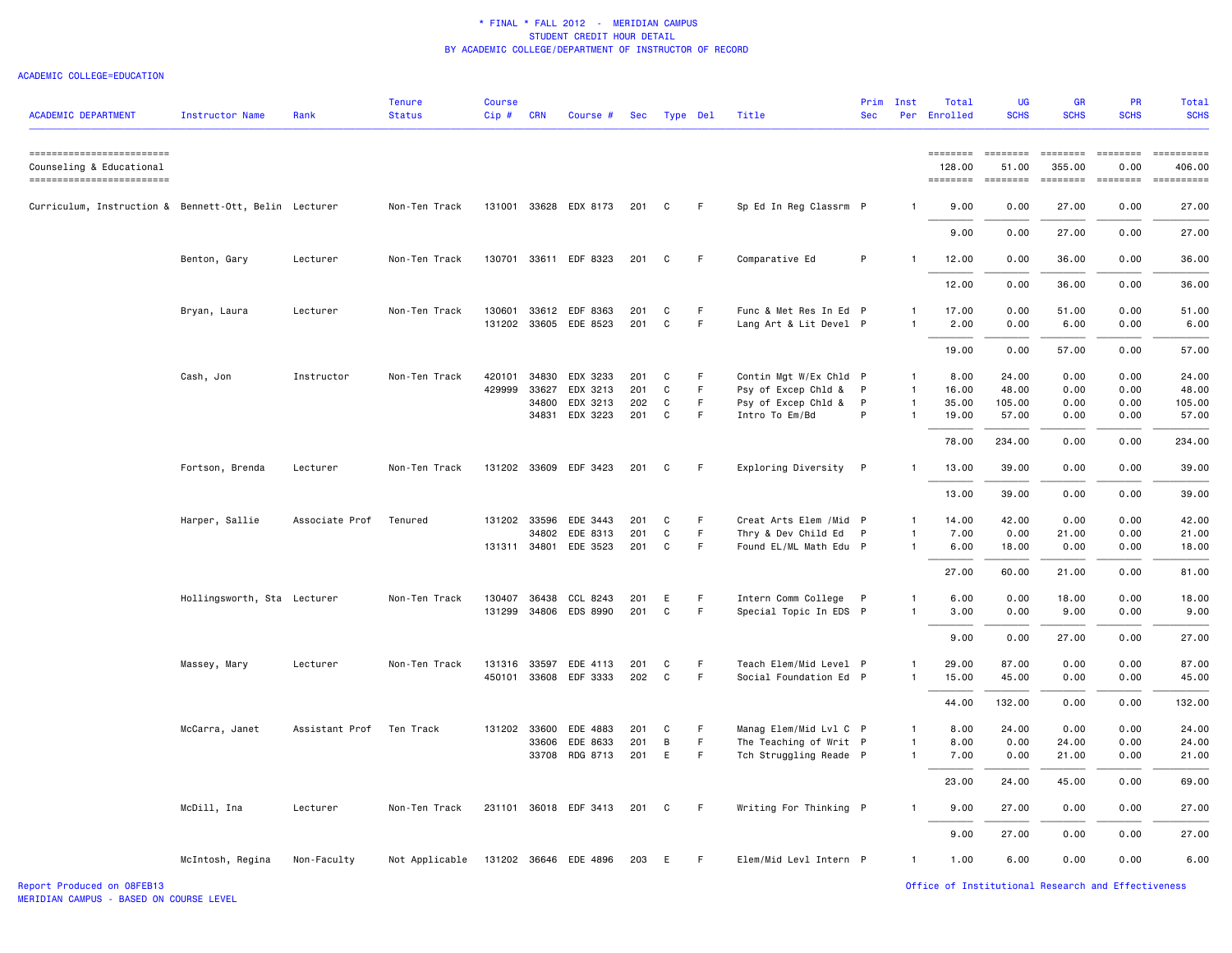| <b>ACADEMIC DEPARTMENT</b>                                                        | <b>Instructor Name</b>      | Rank           | <b>Tenure</b><br><b>Status</b> | <b>Course</b><br>$Cip$ # | <b>CRN</b> | Course #              | Sec   | Type Del |    | Title                  | <b>Sec</b>   | Prim Inst      | Total<br>Per Enrolled          | <b>UG</b><br><b>SCHS</b> | <b>GR</b><br><b>SCHS</b> | <b>PR</b><br><b>SCHS</b>  | <b>Total</b><br><b>SCHS</b>                                                                                                                                                                                                                                                                                                                                                                                                                                                                  |
|-----------------------------------------------------------------------------------|-----------------------------|----------------|--------------------------------|--------------------------|------------|-----------------------|-------|----------|----|------------------------|--------------|----------------|--------------------------------|--------------------------|--------------------------|---------------------------|----------------------------------------------------------------------------------------------------------------------------------------------------------------------------------------------------------------------------------------------------------------------------------------------------------------------------------------------------------------------------------------------------------------------------------------------------------------------------------------------|
| ------------------------<br>Counseling & Educational<br>------------------------- |                             |                |                                |                          |            |                       |       |          |    |                        |              |                | ========<br>128,00<br>======== | $= 222222222$<br>51.00   | 355,00<br>========       | $= = = = = = = =$<br>0.00 | ==========<br>406.00<br>$\begin{minipage}{0.03\linewidth} \hspace*{-0.2cm} \textbf{if the number of } \textit{if} \textit{if} \textit{if} \textit{if} \textit{if} \textit{if} \textit{if} \textit{if} \textit{if} \textit{if} \textit{if} \textit{if} \textit{if} \textit{if} \textit{if} \textit{if} \textit{if} \textit{if} \textit{if} \textit{if} \textit{if} \textit{if} \textit{if} \textit{if} \textit{if} \textit{if} \textit{if} \textit{if} \textit{if} \textit{if} \textit{if} \$ |
| Curriculum, Instruction & Bennett-Ott, Belin Lecturer                             |                             |                | Non-Ten Track                  |                          |            | 131001 33628 EDX 8173 | 201   | C        | F  | Sp Ed In Reg Classrm P |              | $\mathbf{1}$   | 9.00                           | 0.00                     | 27.00                    | 0.00                      | 27.00                                                                                                                                                                                                                                                                                                                                                                                                                                                                                        |
|                                                                                   |                             |                |                                |                          |            |                       |       |          |    |                        |              |                | 9.00                           | 0.00                     | 27.00                    | 0.00                      | 27.00                                                                                                                                                                                                                                                                                                                                                                                                                                                                                        |
|                                                                                   | Benton, Gary                | Lecturer       | Non-Ten Track                  |                          |            | 130701 33611 EDF 8323 | 201   | C        | F  | Comparative Ed         | P            | $\mathbf{1}$   | 12.00                          | 0.00                     | 36.00                    | 0.00                      | 36.00                                                                                                                                                                                                                                                                                                                                                                                                                                                                                        |
|                                                                                   |                             |                |                                |                          |            |                       |       |          |    |                        |              |                | 12.00                          | 0.00                     | 36.00                    | 0.00                      | 36.00                                                                                                                                                                                                                                                                                                                                                                                                                                                                                        |
|                                                                                   | Bryan, Laura                | Lecturer       | Non-Ten Track                  | 130601                   |            | 33612 EDF 8363        | 201   | C        | F  | Func & Met Res In Ed P |              | 1              | 17.00                          | 0.00                     | 51.00                    | 0.00                      | 51.00                                                                                                                                                                                                                                                                                                                                                                                                                                                                                        |
|                                                                                   |                             |                |                                |                          |            | 131202 33605 EDE 8523 | 201   | C        | F  | Lang Art & Lit Devel P |              | $\mathbf{1}$   | 2.00                           | 0.00                     | 6.00                     | 0.00                      | 6.00                                                                                                                                                                                                                                                                                                                                                                                                                                                                                         |
|                                                                                   |                             |                |                                |                          |            |                       |       |          |    |                        |              |                | 19.00                          | 0.00                     | 57.00                    | 0.00                      | 57.00                                                                                                                                                                                                                                                                                                                                                                                                                                                                                        |
|                                                                                   | Cash, Jon                   | Instructor     | Non-Ten Track                  | 420101                   | 34830      | EDX 3233              | 201   | C        | F. | Contin Mgt W/Ex Chld P |              | $\mathbf{1}$   | 8.00                           | 24.00                    | 0.00                     | 0.00                      | 24.00                                                                                                                                                                                                                                                                                                                                                                                                                                                                                        |
|                                                                                   |                             |                |                                | 429999                   | 33627      | EDX 3213              | 201   | C        | F  | Psy of Excep Chld & P  |              | $\mathbf{1}$   | 16.00                          | 48.00                    | 0.00                     | 0.00                      | 48.00                                                                                                                                                                                                                                                                                                                                                                                                                                                                                        |
|                                                                                   |                             |                |                                |                          | 34800      | EDX 3213              | 202   | C        | F  | Psy of Excep Chld &    | $\mathsf{P}$ | $\overline{1}$ | 35.00                          | 105.00                   | 0.00                     | 0.00                      | 105.00                                                                                                                                                                                                                                                                                                                                                                                                                                                                                       |
|                                                                                   |                             |                |                                |                          | 34831      | EDX 3223              | 201   | C        | F. | Intro To Em/Bd         | P            | $\mathbf{1}$   | 19.00                          | 57.00                    | 0.00                     | 0.00                      | 57.00                                                                                                                                                                                                                                                                                                                                                                                                                                                                                        |
|                                                                                   |                             |                |                                |                          |            |                       |       |          |    |                        |              |                | 78.00                          | 234.00                   | 0.00                     | 0.00                      | 234.00                                                                                                                                                                                                                                                                                                                                                                                                                                                                                       |
|                                                                                   | Fortson, Brenda             | Lecturer       | Non-Ten Track                  |                          |            | 131202 33609 EDF 3423 | 201   | C        | F  | Exploring Diversity P  |              | $\mathbf{1}$   | 13.00                          | 39.00                    | 0.00                     | 0.00                      | 39.00                                                                                                                                                                                                                                                                                                                                                                                                                                                                                        |
|                                                                                   |                             |                |                                |                          |            |                       |       |          |    |                        |              |                | 13.00                          | 39.00                    | 0.00                     | 0.00                      | 39.00                                                                                                                                                                                                                                                                                                                                                                                                                                                                                        |
|                                                                                   | Harper, Sallie              | Associate Prof | Tenured                        | 131202                   | 33596      | EDE 3443              | 201   | C        | F. | Creat Arts Elem /Mid P |              | 1              | 14.00                          | 42.00                    | 0.00                     | 0.00                      | 42.00                                                                                                                                                                                                                                                                                                                                                                                                                                                                                        |
|                                                                                   |                             |                |                                |                          | 34802      | EDE 8313              | 201   | C        | F. | Thry & Dev Child Ed P  |              | $\mathbf{1}$   | 7.00                           | 0.00                     | 21.00                    | 0.00                      | 21.00                                                                                                                                                                                                                                                                                                                                                                                                                                                                                        |
|                                                                                   |                             |                |                                |                          |            | 131311 34801 EDE 3523 | 201   | C        | F  | Found EL/ML Math Edu P |              | $\mathbf{1}$   | 6.00                           | 18.00                    | 0.00                     | 0.00                      | 18.00                                                                                                                                                                                                                                                                                                                                                                                                                                                                                        |
|                                                                                   |                             |                |                                |                          |            |                       |       |          |    |                        |              |                | 27.00                          | 60.00                    | 21.00                    | 0.00                      | 81.00                                                                                                                                                                                                                                                                                                                                                                                                                                                                                        |
|                                                                                   | Hollingsworth, Sta Lecturer |                | Non-Ten Track                  | 130407                   |            | 36438 CCL 8243        | 201   | E        | F  | Intern Comm College P  |              | $\mathbf{1}$   | 6.00                           | 0.00                     | 18.00                    | 0.00                      | 18.00                                                                                                                                                                                                                                                                                                                                                                                                                                                                                        |
|                                                                                   |                             |                |                                |                          |            | 131299 34806 EDS 8990 | 201   | C        | F. | Special Topic In EDS P |              | $\mathbf{1}$   | 3.00                           | 0.00                     | 9.00                     | 0.00                      | 9.00                                                                                                                                                                                                                                                                                                                                                                                                                                                                                         |
|                                                                                   |                             |                |                                |                          |            |                       |       |          |    |                        |              |                | 9.00                           | 0.00                     | 27.00                    | 0.00                      | 27.00                                                                                                                                                                                                                                                                                                                                                                                                                                                                                        |
|                                                                                   |                             |                |                                |                          |            |                       |       |          |    |                        |              |                |                                |                          |                          |                           |                                                                                                                                                                                                                                                                                                                                                                                                                                                                                              |
|                                                                                   | Massey, Mary                | Lecturer       | Non-Ten Track                  | 131316 33597             |            | EDE 4113              | 201   | C        | F  | Teach Elem/Mid Level P |              | $\mathbf{1}$   | 29.00                          | 87.00                    | 0.00                     | 0.00                      | 87.00                                                                                                                                                                                                                                                                                                                                                                                                                                                                                        |
|                                                                                   |                             |                |                                |                          |            | 450101 33608 EDF 3333 | 202   | C        | F. | Social Foundation Ed P |              | $\mathbf{1}$   | 15.00                          | 45.00                    | 0.00                     | 0.00                      | 45.00                                                                                                                                                                                                                                                                                                                                                                                                                                                                                        |
|                                                                                   |                             |                |                                |                          |            |                       |       |          |    |                        |              |                | 44.00                          | 132.00                   | 0.00                     | 0.00                      | 132.00                                                                                                                                                                                                                                                                                                                                                                                                                                                                                       |
|                                                                                   | McCarra, Janet              | Assistant Prof | Ten Track                      | 131202 33600             |            | EDE 4883              | 201   | C        | F. | Manag Elem/Mid Lvl C P |              | $\mathbf{1}$   | 8.00                           | 24.00                    | 0.00                     | 0.00                      | 24.00                                                                                                                                                                                                                                                                                                                                                                                                                                                                                        |
|                                                                                   |                             |                |                                |                          | 33606      | EDE 8633              | 201   | B        | F  | The Teaching of Writ P |              | $\mathbf{1}$   | 8.00                           | 0.00                     | 24.00                    | 0.00                      | 24.00                                                                                                                                                                                                                                                                                                                                                                                                                                                                                        |
|                                                                                   |                             |                |                                |                          |            | 33708 RDG 8713        | 201   | E        | F  | Tch Struggling Reade P |              | $\mathbf{1}$   | 7.00                           | 0.00                     | 21.00                    | 0.00                      | 21.00                                                                                                                                                                                                                                                                                                                                                                                                                                                                                        |
|                                                                                   |                             |                |                                |                          |            |                       |       |          |    |                        |              |                | 23.00                          | 24.00                    | 45.00                    | 0.00                      | 69.00                                                                                                                                                                                                                                                                                                                                                                                                                                                                                        |
|                                                                                   | McDill, Ina                 | Lecturer       | Non-Ten Track                  |                          |            | 231101 36018 EDF 3413 | 201 C |          | F. | Writing For Thinking P |              | $\mathbf{1}$   | 9.00                           | 27.00                    | 0.00                     | 0.00                      | 27.00                                                                                                                                                                                                                                                                                                                                                                                                                                                                                        |
|                                                                                   |                             |                |                                |                          |            |                       |       |          |    |                        |              |                | 9.00                           | 27.00                    | 0.00                     | 0.00                      | 27.00                                                                                                                                                                                                                                                                                                                                                                                                                                                                                        |
|                                                                                   | McIntosh, Regina            | Non-Faculty    | Not Applicable                 |                          |            | 131202 36646 EDE 4896 | 203 E |          | F  | Elem/Mid Levl Intern P |              | $\mathbf{1}$   | 1.00                           | 6.00                     | 0.00                     | 0.00                      | 6.00                                                                                                                                                                                                                                                                                                                                                                                                                                                                                         |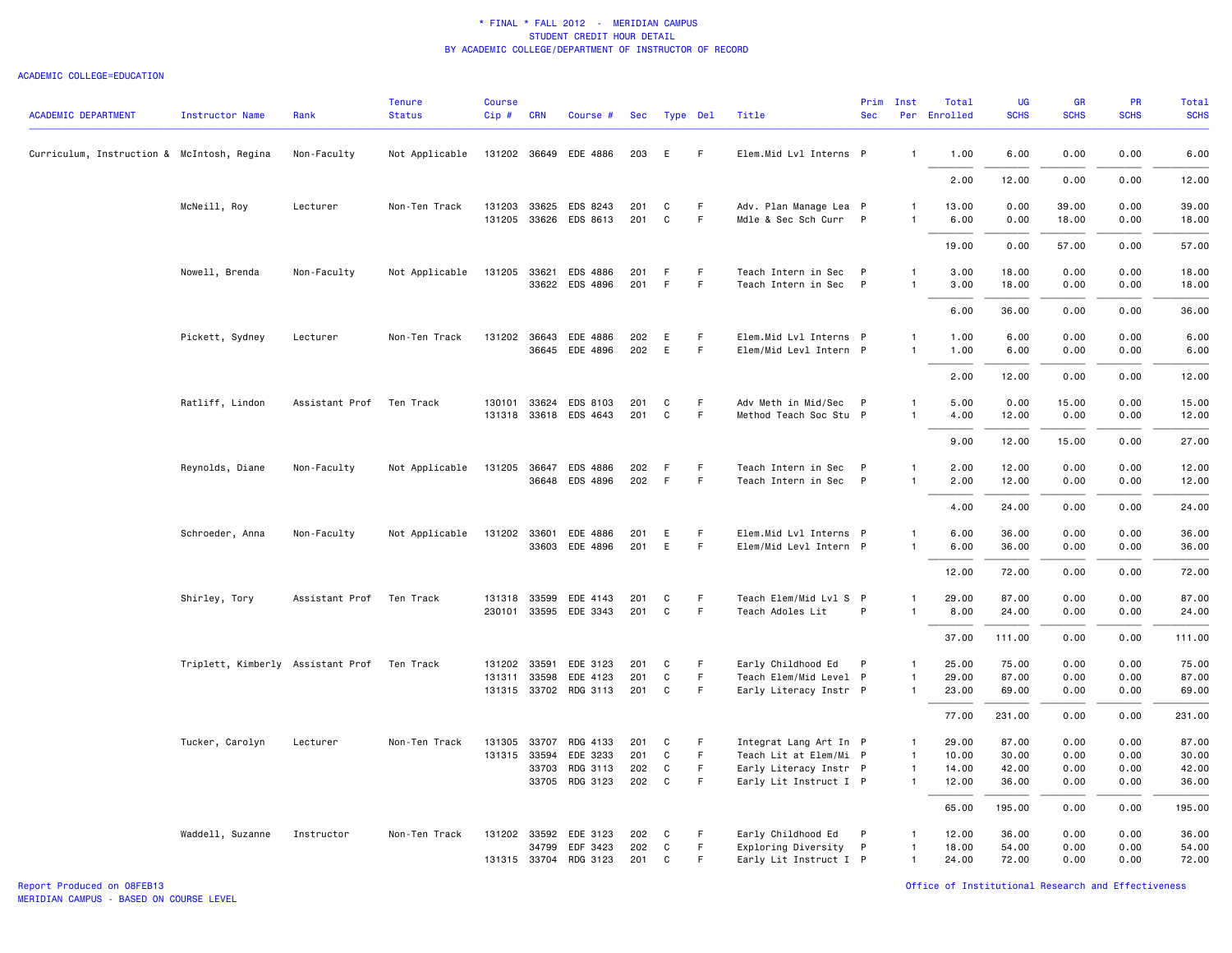#### ACADEMIC COLLEGE=EDUCATION

| <b>ACADEMIC DEPARTMENT</b>                 | Instructor Name                   | Rank           | <b>Tenure</b><br><b>Status</b> | <b>Course</b><br>Cip# | <b>CRN</b>            | Course #                          | Sec        | Type Del     |             | Title                                            | Prim<br><b>Sec</b> | Inst                           | Total<br>Per Enrolled | UG<br><b>SCHS</b> | <b>GR</b><br><b>SCHS</b> | PR<br><b>SCHS</b> | Total<br><b>SCHS</b> |
|--------------------------------------------|-----------------------------------|----------------|--------------------------------|-----------------------|-----------------------|-----------------------------------|------------|--------------|-------------|--------------------------------------------------|--------------------|--------------------------------|-----------------------|-------------------|--------------------------|-------------------|----------------------|
|                                            |                                   |                |                                |                       |                       |                                   |            |              |             |                                                  |                    |                                |                       |                   |                          |                   |                      |
| Curriculum, Instruction & McIntosh, Regina |                                   | Non-Faculty    | Not Applicable                 |                       |                       | 131202 36649 EDE 4886             | 203        | E            | -F          | Elem.Mid Lvl Interns P                           |                    | $\mathbf{1}$                   | 1.00                  | 6.00              | 0.00                     | 0.00              | 6.00                 |
|                                            |                                   |                |                                |                       |                       |                                   |            |              |             |                                                  |                    |                                | 2.00                  | 12.00             | 0.00                     | 0.00              | 12.00                |
|                                            | McNeill, Roy                      | Lecturer       | Non-Ten Track                  |                       |                       | 131203 33625 EDS 8243             | 201        | C            | $\mathsf F$ | Adv. Plan Manage Lea P                           |                    | -1                             | 13.00                 | 0.00              | 39.00                    | 0.00              | 39.00                |
|                                            |                                   |                |                                |                       |                       | 131205 33626 EDS 8613             | 201        | C            | F           | Mdle & Sec Sch Curr P                            |                    | $\mathbf{1}$                   | 6.00                  | 0.00              | 18.00                    | 0.00              | 18.00                |
|                                            |                                   |                |                                |                       |                       |                                   |            |              |             |                                                  |                    |                                | 19.00                 | 0.00              | 57.00                    | 0.00              | 57.00                |
|                                            | Nowell, Brenda                    | Non-Faculty    | Not Applicable                 |                       |                       | 131205 33621 EDS 4886             | 201        | F            | F.          | Teach Intern in Sec                              | P                  | $\mathbf{1}$                   | 3.00                  | 18.00             | 0.00                     | 0.00              | 18.00                |
|                                            |                                   |                |                                |                       |                       | 33622 EDS 4896                    | 201        | F            | F           | Teach Intern in Sec P                            |                    | $\overline{1}$                 | 3.00                  | 18.00             | 0.00                     | 0.00              | 18.00                |
|                                            |                                   |                |                                |                       |                       |                                   |            |              |             |                                                  |                    |                                | 6.00                  | 36.00             | 0.00                     | 0.00              | 36.00                |
|                                            | Pickett, Sydney                   | Lecturer       | Non-Ten Track                  |                       |                       | 131202 36643 EDE 4886             | 202        | E            | F           | Elem.Mid Lvl Interns P                           |                    | $\mathbf{1}$                   | 1.00                  | 6.00              | 0.00                     | 0.00              | 6.00                 |
|                                            |                                   |                |                                |                       |                       | 36645 EDE 4896                    | 202        | E            | F.          | Elem/Mid Levl Intern P                           |                    | $\mathbf{1}$                   | 1.00                  | 6.00              | 0.00                     | 0.00              | 6.00                 |
|                                            |                                   |                |                                |                       |                       |                                   |            |              |             |                                                  |                    |                                | 2.00                  | 12.00             | 0.00                     | 0.00              | 12.00                |
|                                            | Ratliff, Lindon                   | Assistant Prof | Ten Track                      |                       |                       | 130101 33624 EDS 8103             | 201        | C            | -F          | Adv Meth in Mid/Sec P                            |                    | $\mathbf{1}$                   | 5.00                  | 0.00              | 15.00                    | 0.00              | 15.00                |
|                                            |                                   |                |                                |                       |                       | 131318 33618 EDS 4643             | 201        | C            | F           | Method Teach Soc Stu P                           |                    | $\mathbf{1}$                   | 4.00                  | 12.00             | 0.00                     | 0.00              | 12.00                |
|                                            |                                   |                |                                |                       |                       |                                   |            |              |             |                                                  |                    |                                | 9.00                  | 12.00             | 15.00                    | 0.00              | 27.00                |
|                                            | Reynolds, Diane                   | Non-Faculty    | Not Applicable                 |                       | 131205 36647          | EDS 4886                          | 202        | -F           | F           | Teach Intern in Sec                              | $\mathsf{P}$       | $\mathbf{1}$                   | 2.00                  | 12.00             | 0.00                     | 0.00              | 12.00                |
|                                            |                                   |                |                                |                       |                       | 36648 EDS 4896                    | 202        | F            | F           | Teach Intern in Sec P                            |                    | $\mathbf{1}$                   | 2.00                  | 12.00             | 0.00                     | 0.00              | 12.00                |
|                                            |                                   |                |                                |                       |                       |                                   |            |              |             |                                                  |                    |                                | 4.00                  | 24.00             | 0.00                     | 0.00              | 24.00                |
|                                            | Schroeder, Anna                   | Non-Faculty    | Not Applicable                 | 131202 33601          |                       | EDE 4886                          | 201        | E            | F.          | Elem.Mid Lvl Interns P                           |                    | $\mathbf{1}$                   | 6.00                  | 36.00             | 0.00                     | 0.00              | 36.00                |
|                                            |                                   |                |                                |                       | 33603                 | EDE 4896                          | 201        | E            | F.          | Elem/Mid Levl Intern P                           |                    | $\mathbf{1}$                   | 6.00                  | 36.00             | 0.00                     | 0.00              | 36.00                |
|                                            |                                   |                |                                |                       |                       |                                   |            |              |             |                                                  |                    |                                | 12.00                 | 72.00             | 0.00                     | 0.00              | 72.00                |
|                                            | Shirley, Tory                     | Assistant Prof | Ten Track                      |                       | 131318 33599          | EDE 4143                          | 201        | C            | -F          | Teach Elem/Mid Lvl S P                           |                    | $\mathbf{1}$                   | 29.00                 | 87.00             | 0.00                     | 0.00              | 87.00                |
|                                            |                                   |                |                                |                       |                       | 230101 33595 EDE 3343             | 201        | C            | F           | Teach Adoles Lit                                 | P                  | $\mathbf{1}$                   | 8.00                  | 24.00             | 0.00                     | 0.00              | 24.00                |
|                                            |                                   |                |                                |                       |                       |                                   |            |              |             |                                                  |                    |                                | 37.00                 | 111.00            | 0.00                     | 0.00              | 111.00               |
|                                            | Triplett, Kimberly Assistant Prof |                | Ten Track                      |                       | 131202 33591          | EDE 3123                          | 201        | C            | F.          | Early Childhood Ed                               | $\mathsf{P}$       | $\mathbf{1}$                   | 25.00                 | 75.00             | 0.00                     | 0.00              | 75.00                |
|                                            |                                   |                |                                |                       | 131311 33598          | EDE 4123<br>131315 33702 RDG 3113 | 201<br>201 | C<br>C       | F.<br>F     | Teach Elem/Mid Level P<br>Early Literacy Instr P |                    | $\mathbf{1}$<br>$\mathbf{1}$   | 29.00<br>23.00        | 87.00<br>69.00    | 0.00<br>0.00             | 0.00<br>0.00      | 87.00<br>69.00       |
|                                            |                                   |                |                                |                       |                       |                                   |            |              |             |                                                  |                    |                                |                       |                   |                          |                   |                      |
|                                            |                                   |                |                                |                       |                       |                                   |            |              |             |                                                  |                    |                                | 77.00                 | 231.00            | 0.00                     | 0.00              | 231.00               |
|                                            | Tucker, Carolyn                   | Lecturer       | Non-Ten Track                  |                       | 131305 33707          | RDG 4133                          | 201        | C            | F           | Integrat Lang Art In P                           |                    | $\overline{1}$                 | 29.00                 | 87.00             | 0.00                     | 0.00              | 87.00                |
|                                            |                                   |                |                                |                       | 131315 33594<br>33703 | EDE 3233<br>RDG 3113              | 201<br>202 | C<br>C       | F.<br>F     | Teach Lit at Elem/Mi P<br>Early Literacy Instr P |                    | $\overline{1}$<br>$\mathbf{1}$ | 10.00<br>14.00        | 30.00<br>42.00    | 0.00<br>0.00             | 0.00<br>0.00      | 30.00<br>42.00       |
|                                            |                                   |                |                                |                       |                       | 33705 RDG 3123                    | 202        | $\mathbf{C}$ | F.          | Early Lit Instruct I P                           |                    | $\mathbf{1}$                   | 12.00                 | 36.00             | 0.00                     | 0.00              | 36.00                |
|                                            |                                   |                |                                |                       |                       |                                   |            |              |             |                                                  |                    |                                | 65.00                 | 195.00            | 0.00                     | 0.00              | 195.00               |
|                                            | Waddell, Suzanne                  | Instructor     | Non-Ten Track                  |                       |                       | 131202 33592 EDE 3123             | 202        | C            | -F          | Early Childhood Ed                               | P                  | $\mathbf{1}$                   | 12.00                 | 36.00             | 0.00                     | 0.00              | 36.00                |
|                                            |                                   |                |                                |                       | 34799                 | EDF 3423                          | 202        | C            | F           | Exploring Diversity P                            |                    | $\overline{1}$                 | 18.00                 | 54.00             | 0.00                     | 0.00              | 54.00                |
|                                            |                                   |                |                                |                       |                       | 131315 33704 RDG 3123             | 201        | C            | F.          | Early Lit Instruct I P                           |                    | $\mathbf{1}$                   | 24.00                 | 72.00             | 0.00                     | 0.00              | 72.00                |

Report Produced on 08FEB13 Office of Institutional Research and Effectiveness